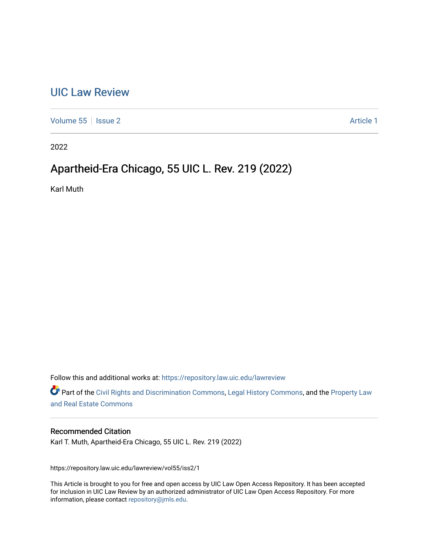# [UIC Law Review](https://repository.law.uic.edu/lawreview)

[Volume 55](https://repository.law.uic.edu/lawreview/vol55) | [Issue 2](https://repository.law.uic.edu/lawreview/vol55/iss2) Article 1

2022

# Apartheid-Era Chicago, 55 UIC L. Rev. 219 (2022)

Karl Muth

Follow this and additional works at: [https://repository.law.uic.edu/lawreview](https://repository.law.uic.edu/lawreview?utm_source=repository.law.uic.edu%2Flawreview%2Fvol55%2Fiss2%2F1&utm_medium=PDF&utm_campaign=PDFCoverPages) 

Part of the [Civil Rights and Discrimination Commons,](http://network.bepress.com/hgg/discipline/585?utm_source=repository.law.uic.edu%2Flawreview%2Fvol55%2Fiss2%2F1&utm_medium=PDF&utm_campaign=PDFCoverPages) [Legal History Commons](http://network.bepress.com/hgg/discipline/904?utm_source=repository.law.uic.edu%2Flawreview%2Fvol55%2Fiss2%2F1&utm_medium=PDF&utm_campaign=PDFCoverPages), and the Property Law [and Real Estate Commons](http://network.bepress.com/hgg/discipline/897?utm_source=repository.law.uic.edu%2Flawreview%2Fvol55%2Fiss2%2F1&utm_medium=PDF&utm_campaign=PDFCoverPages) 

## Recommended Citation

Karl T. Muth, Apartheid-Era Chicago, 55 UIC L. Rev. 219 (2022)

https://repository.law.uic.edu/lawreview/vol55/iss2/1

This Article is brought to you for free and open access by UIC Law Open Access Repository. It has been accepted for inclusion in UIC Law Review by an authorized administrator of UIC Law Open Access Repository. For more information, please contact [repository@jmls.edu.](mailto:repository@jmls.edu)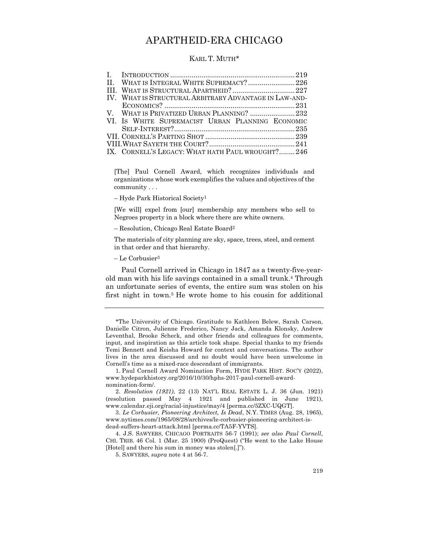# APARTHEID-ERA CHICAGO

#### KARL T. MUTH\*

| IV. WHAT IS STRUCTURAL ARBITRARY ADVANTAGE IN LAW-AND- |  |
|--------------------------------------------------------|--|
|                                                        |  |
| V. WHAT IS PRIVATIZED URBAN PLANNING? 232              |  |
| VI. IS WHITE SUPREMACIST URBAN PLANNING ECONOMIC       |  |
|                                                        |  |
|                                                        |  |
|                                                        |  |
| IX. CORNELL'S LEGACY: WHAT HATH PAUL WROUGHT?246       |  |

[The] Paul Cornell Award, which recognizes individuals and organizations whose work exemplifies the values and objectives of the community . . .

– Hyde Park Historical Society1

[We will] expel from [our] membership any members who sell to Negroes property in a block where there are white owners.

– Resolution, Chicago Real Estate Board2

The materials of city planning are sky, space, trees, steel, and cement in that order and that hierarchy.

– Le Corbusier3

Paul Cornell arrived in Chicago in 1847 as a twenty-five-yearold man with his life savings contained in a small trunk.4 Through an unfortunate series of events, the entire sum was stolen on his first night in town.5 He wrote home to his cousin for additional

1. Paul Cornell Award Nomination Form, HYDE PARK HIST. SOC'Y (2022), www.hydeparkhistory.org/2016/10/30/hphs-2017-paul-cornell-awardnomination-form/.

2. *Resolution (1921)*, 22 (13) NAT'L REAL ESTATE L. J. 36 (Jun. 1921) (resolution passed May 4 1921 and published in June 1921), www.calendar.eji.org/racial-injustice/may/4 [perma.cc/5ZXC-UQGT].

4. J.S. SAWYERS, CHICAGO PORTRAITS 56-7 (1991); *see also Paul Cornell*, CHI. TRIB. 46 Col. 1 (Mar. 25 1900) (ProQuest) ("He went to the Lake House [Hotel] and there his sum in money was stolen[.]").

5. SAWYERS, *supra* note 4 at 56-7.

<sup>\*</sup>The University of Chicago. Gratitude to Kathleen Belew, Sarah Carson, Danielle Citron, Julienne Frederico, Nancy Jack, Amanda Klonsky, Andrew Leventhal, Brooke Scheck, and other friends and colleagues for comments, input, and inspiration as this article took shape. Special thanks to my friends Temi Bennett and Keisha Howard for context and conversations. The author lives in the area discussed and no doubt would have been unwelcome in Cornell's time as a mixed-race descendant of immigrants.

<sup>3.</sup> *Le Corbusier, Pioneering Architect, Is Dead*, N.Y. TIMES (Aug. 28, 1965), www.nytimes.com/1965/08/28/archives/le-corbusier-pioneering-architect-isdead-suffers-heart-attack.html [perma.cc/TA5F-YVTS].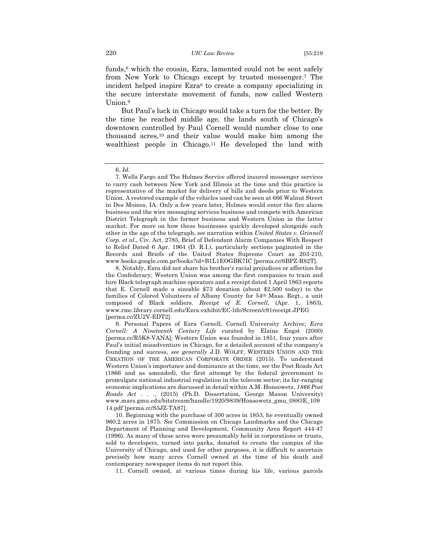funds, $6$  which the cousin, Ezra, lamented could not be sent safely from New York to Chicago except by trusted messenger.7 The incident helped inspire Ezra<sup>8</sup> to create a company specializing in the secure interstate movement of funds, now called Western Union.9

But Paul's luck in Chicago would take a turn for the better. By the time he reached middle age, the lands south of Chicago's downtown controlled by Paul Cornell would number close to one thousand acres,10 and their value would make him among the wealthiest people in Chicago.11 He developed the land with

10. Beginning with the purchase of 300 acres in 1853, he eventually owned 960.2 acres in 1875. *See* Commission on Chicago Landmarks and the Chicago Department of Planning and Development, Community Area Report 444-47 (1996). As many of these acres were presumably held in corporations or trusts, sold to developers, turned into parks, donated to create the campus of the University of Chicago, and used for other purposes, it is difficult to ascertain precisely how many acres Cornell owned at the time of his death and contemporary newspaper items do not report this.

11. Cornell owned, at various times during his life, various parcels

<sup>6.</sup> *Id.*

<sup>7.</sup> Wells Fargo and The Holmes Service offered insured messenger services to carry cash between New York and Illinois at the time and this practice is representative of the market for delivery of bills and deeds prior to Western Union. A restored example of the vehicles used can be seen at 666 Walnut Street in Des Moines, IA. Only a few years later, Holmes would enter the fire alarm business and the wire messaging services business and compete with American District Telegraph in the former business and Western Union in the latter market. For more on how these businesses quickly developed alongside each other in the age of the telegraph, *see* narration within *United States v. Grinnell Corp. et al*., Civ. Act. 2785, Brief of Defendant Alarm Companies With Respect to Relief Dated 6 Apr. 1964 (D. R.I.), particularly sections paginated in the Records and Briefs of the United States Supreme Court as 203-210, www.books.google.com.pr/books?id=B1L1EOGBK7IC [perma.cc/6BPZ-R82T].

<sup>8.</sup> Notably, Ezra did not share his brother's racial prejudices or affection for the Confederacy; Western Union was among the first companies to train and hire Black telegraph machine operators and a receipt dated 1 April 1863 reports that E. Cornell made a sizeable \$73 donation (about \$2,500 today) to the families of Colored Volunteers of Albany County for 54th Mass. Regt., a unit composed of Black soldiers. *Receipt of E. Cornell*, (Apr. 1, 1863), www.rmc.library.cornell.edu/Ezra-exhibit/EC-life/Screen/c91receipt.JPEG [perma.cc/ZU2V-EDT2].

<sup>9.</sup> Personal Papers of Ezra Cornell, Cornell University Archive; *Ezra Cornell: A Nineteenth Century Life* curated by Elaine Engst (2000) [perma.cc/R5K8-VANA]; Western Union was founded in 1851, four years after Paul's initial misadventure in Chicago, for a detailed account of the company's founding and success, *see generally* J.D. WOLFF, WESTERN UNION AND THE CREATION OF THE AMERICAN CORPORATE ORDER (2015). To understand Western Union's importance and dominance at the time, *see* the Post Roads Act (1866 and as amended), the first attempt by the federal government to promulgate national industrial regulation in the telecom sector; its far-ranging economic implications are discussed in detail within A.M. Honsowetz, *1866 Post Roads Act* . . ., (2015) (Ph.D. Dissertation, George Mason University) www.mars.gmu.edu/bitstream/handle/1920/9839/Honsowetz\_gmu\_0883E\_109 14.pdf [perma.cc/S5JZ-TA87].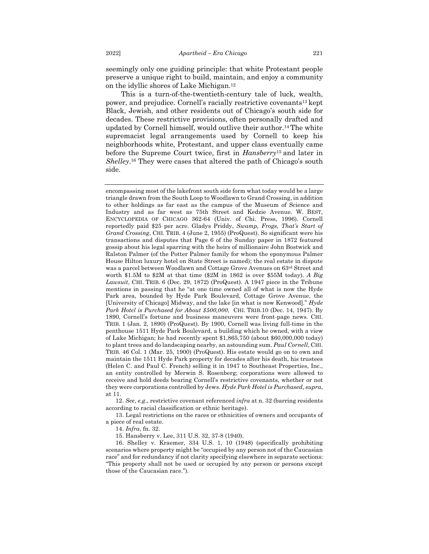seemingly only one guiding principle: that white Protestant people preserve a unique right to build, maintain, and enjoy a community on the idyllic shores of Lake Michigan.12

This is a turn-of-the-twentieth-century tale of luck, wealth, power, and prejudice. Cornell's racially restrictive covenants13 kept Black, Jewish, and other residents out of Chicago's south side for decades. These restrictive provisions, often personally drafted and updated by Cornell himself, would outlive their author.14 The white supremacist legal arrangements used by Cornell to keep his neighborhoods white, Protestant, and upper class eventually came before the Supreme Court twice, first in *Hansberry*<sup>15</sup> and later in *Shelley*.16 They were cases that altered the path of Chicago's south side.

encompassing most of the lakefront south side form what today would be a large triangle drawn from the South Loop to Woodlawn to Grand Crossing, in addition to other holdings as far east as the campus of the Museum of Science and Industry and as far west as 75th Street and Kedzie Avenue. W. BEST, ENCYCLOPEDIA OF CHICAGO 362-64 (Univ. of Chi. Press, 1996). Cornell reportedly paid \$25 per acre. Gladys Priddy, *Swamp, Frogs, That's Start of Grand Crossing*, CHI. TRIB. 4 (June 2, 1955) (ProQuest). So significant were his transactions and disputes that Page 6 of the Sunday paper in 1872 featured gossip about his legal sparring with the heirs of millionaire John Bostwick and Ralston Palmer (of the Potter Palmer family for whom the eponymous Palmer House Hilton luxury hotel on State Street is named); the real estate in dispute was a parcel between Woodlawn and Cottage Grove Avenues on 63rd Street and worth \$1.5M to \$2M at that time (\$2M in 1862 is over \$55M today). *A Big Lawsuit*, CHI. TRIB. 6 (Dec. 29, 1872) (ProQuest). A 1947 piece in the Tribune mentions in passing that he "at one time owned all of what is now the Hyde Park area, bounded by Hyde Park Boulevard, Cottage Grove Avenue, the [University of Chicago] Midway, and the lake [in what is now Kenwood]." *Hyde Park Hotel is Purchased for About \$500,000*, CHI. TRIB.10 (Dec. 14, 1947). By 1890, Cornell's fortune and business maneuvers were front-page news. CHI. TRIB. 1 (Jan. 2, 1890) (ProQuest). By 1900, Cornell was living full-time in the penthouse 1511 Hyde Park Boulevard, a building which he owned, with a view of Lake Michigan; he had recently spent \$1,865,750 (about \$60,000,000 today) to plant trees and do landscaping nearby, an astounding sum. *Paul Cornell*, CHI. TRIB. 46 Col. 1 (Mar. 25, 1900) (ProQuest). His estate would go on to own and maintain the 1511 Hyde Park property for decades after his death, his trustees (Helen C. and Paul C. French) selling it in 1947 to Southeast Properties, Inc., an entity controlled by Merwin S. Rosenberg; corporations were allowed to receive and hold deeds bearing Cornell's restrictive covenants, whether or not they were corporations controlled by Jews. *Hyde Park Hotel is Purchased*, *supra*, at 11.

12. *See*, *e.g*., restrictive covenant referenced *infra* at n. 32 (barring residents according to racial classification or ethnic heritage).

13. Legal restrictions on the races or ethnicities of owners and occupants of a piece of real estate.

14. *Infra*, fn. 32.

15. Hansberry v. Lee, 311 U.S. 32, 37-8 (1940).

16. Shelley v. Kraemer, 334 U.S. 1, 10 (1948) (specifically prohibiting scenarios where property might be "occupied by any person not of the Caucasian race" and for redundancy if not clarity specifying elsewhere in separate sections: "This property shall not be used or occupied by any person or persons except those of the Caucasian race.").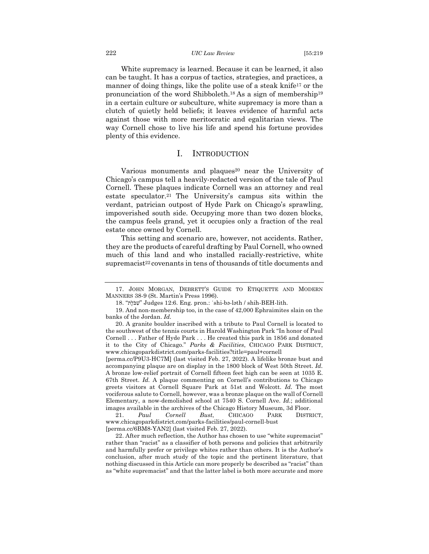#### 222 *UIC Law Review* [55:219

White supremacy is learned. Because it can be learned, it also can be taught. It has a corpus of tactics, strategies, and practices, a manner of doing things, like the polite use of a steak knife<sup>17</sup> or the pronunciation of the word Shibboleth.18 As a sign of membership19 in a certain culture or subculture, white supremacy is more than a clutch of quietly held beliefs; it leaves evidence of harmful acts against those with more meritocratic and egalitarian views. The way Cornell chose to live his life and spend his fortune provides plenty of this evidence.

### I. INTRODUCTION

Various monuments and plaques<sup>20</sup> near the University of Chicago's campus tell a heavily-redacted version of the tale of Paul Cornell. These plaques indicate Cornell was an attorney and real estate speculator.21 The University's campus sits within the verdant, patrician outpost of Hyde Park on Chicago's sprawling, impoverished south side. Occupying more than two dozen blocks, the campus feels grand, yet it occupies only a fraction of the real estate once owned by Cornell.

This setting and scenario are, however, not accidents. Rather, they are the products of careful drafting by Paul Cornell, who owned much of this land and who installed racially-restrictive, white supremacist<sup>22</sup> covenants in tens of thousands of title documents and

<sup>17.</sup> JOHN MORGAN, DEBRETT'S GUIDE TO ETIQUETTE AND MODERN MANNERS 38-9 (St. Martin's Press 1996).

<sup>18.</sup> " שִׁבֹּלֶת " Judges 12:6. Eng. pron.: ˈshi-bə-ləth / shih-BEH-lith.

<sup>19.</sup> And non-membership too, in the case of 42,000 Ephraimites slain on the banks of the Jordan. *Id.*

<sup>20.</sup> A granite boulder inscribed with a tribute to Paul Cornell is located to the southwest of the tennis courts in Harold Washington Park "In honor of Paul Cornell . . . Father of Hyde Park . . . He created this park in 1856 and donated it to the City of Chicago." *Parks & Facilities*, CHICAGO PARK DISTRICT, www.chicagoparkdistrict.com/parks-facilities?title=paul+cornell

<sup>[</sup>perma.cc/P9U3-HC7M] (last visited Feb. 27, 2022). A lifelike bronze bust and accompanying plaque are on display in the 1800 block of West 50th Street. *Id.* A bronze low-relief portrait of Cornell fifteen feet high can be seen at 1035 E. 67th Street. *Id.* A plaque commenting on Cornell's contributions to Chicago greets visitors at Cornell Square Park at 51st and Wolcott. *Id.* The most vociferous salute to Cornell, however, was a bronze plaque on the wall of Cornell Elementary, a now-demolished school at 7540 S. Cornell Ave. *Id.*; additional images available in the archives of the Chicago History Museum, 3d Floor.

<sup>21.</sup> *Paul Cornell Bust*, CHICAGO PARK DISTRICT, www.chicagoparkdistrict.com/parks-facilities/paul-cornell-bust [perma.cc/6BM8-YAN2] (last visited Feb. 27, 2022).

<sup>22.</sup> After much reflection, the Author has chosen to use "white supremacist" rather than "racist" as a classifier of both persons and policies that arbitrarily and harmfully prefer or privilege whites rather than others. It is the Author's conclusion, after much study of the topic and the pertinent literature, that nothing discussed in this Article can more properly be described as "racist" than as "white supremacist" and that the latter label is both more accurate and more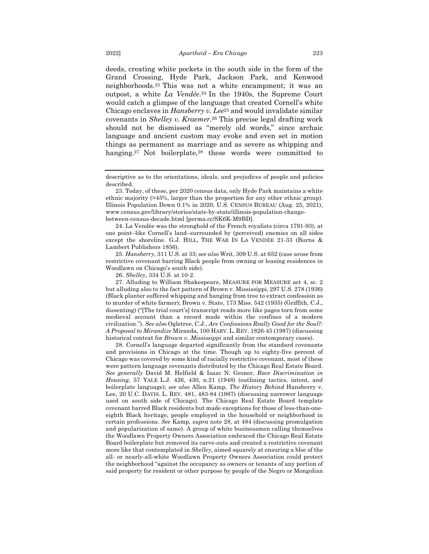deeds, creating white pockets in the south side in the form of the Grand Crossing, Hyde Park, Jackson Park, and Kenwood neighborhoods.23 This was not a white encampment; it was an outpost, a white *La Vendée*.24 In the 1940s, the Supreme Court would catch a glimpse of the language that created Cornell's white Chicago enclaves in *Hansberry v. Lee*<sup>25</sup> and would invalidate similar covenants in *Shelley v. Kraemer*.26 This precise legal drafting work should not be dismissed as "merely old words," since archaic language and ancient custom may evoke and even set in motion things as permanent as marriage and as severe as whipping and hanging.<sup>27</sup> Not boilerplate,<sup>28</sup> these words were committed to

25. *Hansberry,* 311 U.S. at 33; *see also* Writ, 309 U.S. at 652 (case arose from restrictive covenant barring Black people from owning or leasing residences in Woodlawn on Chicago's south side).

26. *Shelley*, 334 U.S. at 10-2.

27. Alluding to William Shakespeare, MEASURE FOR MEASURE act 4, sc. 2 but alluding also to the fact pattern of Brown v. Mississippi, 297 U.S. 278 (1936) (Black planter suffered whipping and hanging from tree to extract confession as to murder of white farmer); Brown v. State, 173 Miss. 542 (1935) (Griffith, C.J., dissenting) ("[The trial court's] transcript reads more like pages torn from some medieval account than a record made within the confines of a modern civilization."). *See also* Ogletree, C.J., *Are Confessions Really Good for the Soul?: A Proposal to Mirandize* Miranda, 100 HARV. L. REV. 1826-45 (1987) (discussing historical context for *Brown v. Mississippi* and similar contemporary cases).

28. Cornell's language departed significantly from the standard covenants and provisions in Chicago at the time. Though up to eighty-five percent of Chicago was covered by some kind of racially restrictive covenant, most of these were pattern language covenants distributed by the Chicago Real Estate Board. *See generally* David M. Helfield & Isaac N. Groner, *Race Discrimination in Housing*, 57 YALE L.J. 426, 430, n.21 (1948) (outlining tactics, intent, and boilerplate language); *see also* Allen Kamp, *The History Behind* Hansberry v. Lee, 20 U.C. DAVIS. L. REV. 481, 483-84 (1987) (discussing narrower language used on south side of Chicago). The Chicago Real Estate Board template covenant barred Black residents but made exceptions for those of less-than-oneeighth Black heritage, people employed in the household or neighborhood in certain professions. *See* Kamp, *supra* note 28, at 484 (discussing promulgation and popularization of same). A group of white businessmen calling themselves the Woodlawn Property Owners Association embraced the Chicago Real Estate Board boilerplate but removed its carve-outs and created a restrictive covenant more like that contemplated in *Shelley*, aimed squarely at ensuring a bloc of the all- or nearly-all-white Woodlawn Property Owners Association could protect the neighborhood "against the occupancy as owners or tenants of any portion of said property for resident or other purpose by people of the Negro or Mongolian

descriptive as to the orientations, ideals, and prejudices of people and policies described.

<sup>23.</sup> Today, of these, per 2020 census data, only Hyde Park maintains a white ethnic majority (>45%, larger than the proportion for any other ethnic group). Illinois Population Down 0.1% in 2020, U.S. CENSUS BUREAU (Aug. 25, 2021), www.census.gov/library/stories/state-by-state/illinois-population-changebetween-census-decade.html [perma.cc/SK6K-M9BD].

<sup>24.</sup> La Vendée was the stronghold of the French royalists (circa 1791-93), at one point–like Cornell's land–surrounded by (perceived) enemies on all sides except the shoreline. G.J. HILL, THE WAR IN LA VENDÉE 21-33 (Burns & Lambert Publishers 1856).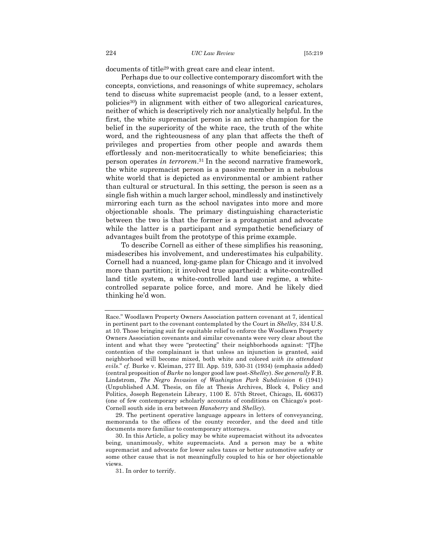documents of title29 with great care and clear intent.

Perhaps due to our collective contemporary discomfort with the concepts, convictions, and reasonings of white supremacy, scholars tend to discuss white supremacist people (and, to a lesser extent, policies30) in alignment with either of two allegorical caricatures, neither of which is descriptively rich nor analytically helpful. In the first, the white supremacist person is an active champion for the belief in the superiority of the white race, the truth of the white word, and the righteousness of any plan that affects the theft of privileges and properties from other people and awards them effortlessly and non-meritocratically to white beneficiaries; this person operates *in terrorem*.31 In the second narrative framework, the white supremacist person is a passive member in a nebulous white world that is depicted as environmental or ambient rather than cultural or structural. In this setting, the person is seen as a single fish within a much larger school, mindlessly and instinctively mirroring each turn as the school navigates into more and more objectionable shoals. The primary distinguishing characteristic between the two is that the former is a protagonist and advocate while the latter is a participant and sympathetic beneficiary of advantages built from the prototype of this prime example.

To describe Cornell as either of these simplifies his reasoning, misdescribes his involvement, and underestimates his culpability. Cornell had a nuanced, long-game plan for Chicago and it involved more than partition; it involved true apartheid: a white-controlled land title system, a white-controlled land use regime, a whitecontrolled separate police force, and more. And he likely died thinking he'd won.

Race." Woodlawn Property Owners Association pattern covenant at 7, identical in pertinent part to the covenant contemplated by the Court in *Shelley*, 334 U.S. at 10. Those bringing suit for equitable relief to enforce the Woodlawn Property Owners Association covenants and similar covenants were very clear about the intent and what they were "protecting" their neighborhoods against: "[T]he contention of the complainant is that unless an injunction is granted, said neighborhood will become mixed, both white and colored *with its attendant evils*." *cf.* Burke v. Kleiman, 277 Ill. App. 519, 530-31 (1934) (emphasis added) (central proposition of *Burke* no longer good law post-*Shelley*). *See generally* F.B. Lindstrom, *The Negro Invasion of Washington Park Subdivision* 6 (1941) (Unpublished A.M. Thesis, on file at Thesis Archives, Block 4, Policy and Politics, Joseph Regenstein Library, 1100 E. 57th Street, Chicago, IL 60637) (one of few contemporary scholarly accounts of conditions on Chicago's post-Cornell south side in era between *Hansberry* and *Shelley*).

<sup>29.</sup> The pertinent operative language appears in letters of conveyancing, memoranda to the offices of the county recorder, and the deed and title documents more familiar to contemporary attorneys.

<sup>30.</sup> In this Article, a policy may be white supremacist without its advocates being, unanimously, white supremacists. And a person may be a white supremacist and advocate for lower sales taxes or better automotive safety or some other cause that is not meaningfully coupled to his or her objectionable views.

<sup>31.</sup> In order to terrify.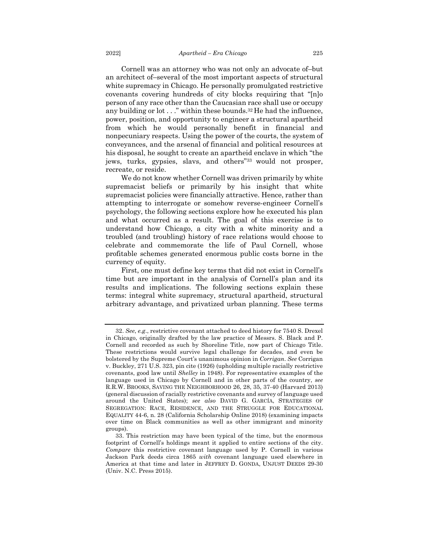Cornell was an attorney who was not only an advocate of–but an architect of–several of the most important aspects of structural white supremacy in Chicago. He personally promulgated restrictive covenants covering hundreds of city blocks requiring that "[n]o person of any race other than the Caucasian race shall use or occupy any building or lot . . ." within these bounds.<sup>32</sup> He had the influence, power, position, and opportunity to engineer a structural apartheid from which he would personally benefit in financial and nonpecuniary respects. Using the power of the courts, the system of conveyances, and the arsenal of financial and political resources at his disposal, he sought to create an apartheid enclave in which "the jews, turks, gypsies, slavs, and others"33 would not prosper, recreate, or reside.

We do not know whether Cornell was driven primarily by white supremacist beliefs or primarily by his insight that white supremacist policies were financially attractive. Hence, rather than attempting to interrogate or somehow reverse-engineer Cornell's psychology, the following sections explore how he executed his plan and what occurred as a result. The goal of this exercise is to understand how Chicago, a city with a white minority and a troubled (and troubling) history of race relations would choose to celebrate and commemorate the life of Paul Cornell, whose profitable schemes generated enormous public costs borne in the currency of equity.

First, one must define key terms that did not exist in Cornell's time but are important in the analysis of Cornell's plan and its results and implications. The following sections explain these terms: integral white supremacy, structural apartheid, structural arbitrary advantage, and privatized urban planning. These terms

<sup>32.</sup> *See*, *e.g*., restrictive covenant attached to deed history for 7540 S. Drexel in Chicago, originally drafted by the law practice of Messrs. S. Black and P. Cornell and recorded as such by Shoreline Title, now part of Chicago Title. These restrictions would survive legal challenge for decades, and even be bolstered by the Supreme Court's unanimous opinion in *Corrigan*. *See* Corrigan v. Buckley, 271 U.S. 323, pin cite (1926) (upholding multiple racially restrictive covenants, good law until *Shelley* in 1948). For representative examples of the language used in Chicago by Cornell and in other parts of the country, *see* R.R.W. BROOKS, SAVING THE NEIGHBORHOOD 26, 28, 35, 37-40 (Harvard 2013) (general discussion of racially restrictive covenants and survey of language used around the United States); *see also* DAVID G. GARCÍA, STRATEGIES OF SEGREGATION: RACE, RESIDENCE, AND THE STRUGGLE FOR EDUCATIONAL EQUALITY 44-6, n. 28 (California Scholarship Online 2018) (examining impacts over time on Black communities as well as other immigrant and minority groups).

<sup>33.</sup> This restriction may have been typical of the time, but the enormous footprint of Cornell's holdings meant it applied to entire sections of the city. *Compare* this restrictive covenant language used by P. Cornell in various Jackson Park deeds circa 1865 *with* covenant language used elsewhere in America at that time and later in JEFFREY D. GONDA, UNJUST DEEDS 29-30 (Univ. N.C. Press 2015).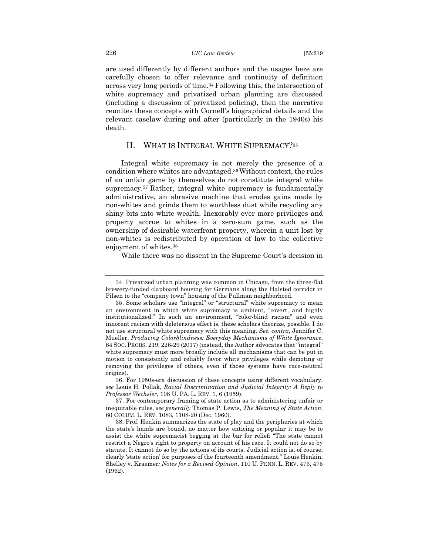are used differently by different authors and the usages here are carefully chosen to offer relevance and continuity of definition across very long periods of time.34 Following this, the intersection of white supremacy and privatized urban planning are discussed (including a discussion of privatized policing), then the narrative reunites these concepts with Cornell's biographical details and the relevant caselaw during and after (particularly in the 1940s) his death.

## II. WHAT IS INTEGRAL WHITE SUPREMACY?35

Integral white supremacy is not merely the presence of a condition where whites are advantaged.36Without context, the rules of an unfair game by themselves do not constitute integral white supremacy.37 Rather, integral white supremacy is fundamentally administrative, an abrasive machine that erodes gains made by non-whites and grinds them to worthless dust while recycling any shiny bits into white wealth. Inexorably ever more privileges and property accrue to whites in a zero-sum game, such as the ownership of desirable waterfront property, wherein a unit lost by non-whites is redistributed by operation of law to the collective enjoyment of whites.38

While there was no dissent in the Supreme Court's decision in

36. For 1950s-era discussion of these concepts using different vocabulary, *see* Louis H. Pollak, *Racial Discrimination and Judicial Integrity: A Reply to Professor Wechsler*, 108 U. PA. L. REV. 1, 6 (1959).

37. For contemporary framing of state action as to administering unfair or inequitable rules, *see generally* Thomas P. Lewis, *The Meaning of State Action*, 60 COLUM. L. REV. 1083, 1108-20 (Dec. 1960).

<sup>34.</sup> Privatized urban planning was common in Chicago, from the three-flat brewery-funded clapboard housing for Germans along the Halsted corridor in Pilsen to the "company town" housing of the Pullman neighborhood.

<sup>35.</sup> Some scholars use "integral" or "structural" white supremacy to mean an environment in which white supremacy is ambient, "covert, and highly institutionalized." In such an environment, "color-blind racism" and even innocent racism with deleterious effect is, these scholars theorize, possible. I do not use structural white supremacy with this meaning. *See*, *contra*, Jennifer C. Mueller, *Producing Colorblindness: Everyday Mechanisms of White Ignorance*, 64 SOC. PROBS. 219, 226-29 (2017) (instead, the Author advocates that "integral" white supremacy must more broadly include all mechanisms that can be put in motion to consistently and reliably favor white privileges while demoting or removing the privileges of others, even if those systems have race-neutral origins).

<sup>38.</sup> Prof. Henkin summarizes the state of play and the peripheries at which the state's hands are bound, no matter how enticing or popular it may be to assist the white supremacist begging at the bar for relief: "The state cannot restrict a Negro's right to property on account of his race. It could not do so by statute. It cannot do so by the actions of its courts. Judicial action is, of course, clearly 'state action' for purposes of the fourteenth amendment." Louis Henkin, Shelley v. Kraemer*: Notes for a Revised Opinion*, 110 U. PENN. L. REV. 473, 475 (1962).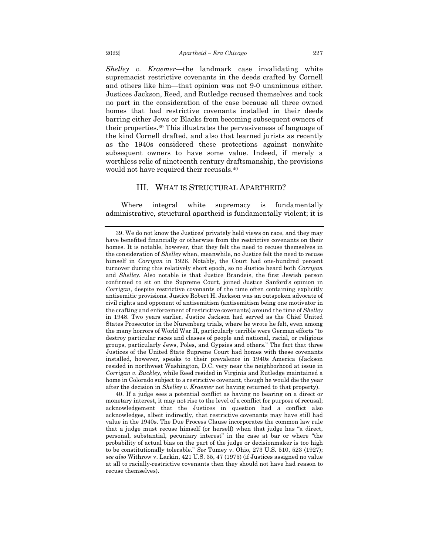*Shelley v. Kraemer*—the landmark case invalidating white supremacist restrictive covenants in the deeds crafted by Cornell and others like him—that opinion was not 9-0 unanimous either. Justices Jackson, Reed, and Rutledge recused themselves and took no part in the consideration of the case because all three owned homes that had restrictive covenants installed in their deeds barring either Jews or Blacks from becoming subsequent owners of their properties.39 This illustrates the pervasiveness of language of the kind Cornell drafted, and also that learned jurists as recently as the 1940s considered these protections against nonwhite subsequent owners to have some value. Indeed, if merely a worthless relic of nineteenth century draftsmanship, the provisions would not have required their recusals.40

### III. WHAT IS STRUCTURAL APARTHEID?

Where integral white supremacy is fundamentally administrative, structural apartheid is fundamentally violent; it is

<sup>39.</sup> We do not know the Justices' privately held views on race, and they may have benefited financially or otherwise from the restrictive covenants on their homes. It is notable, however, that they felt the need to recuse themselves in the consideration of *Shelley* when, meanwhile, no Justice felt the need to recuse himself in *Corrigan* in 1926. Notably, the Court had one-hundred percent turnover during this relatively short epoch, so no Justice heard both *Corrigan* and *Shelley*. Also notable is that Justice Brandeis, the first Jewish person confirmed to sit on the Supreme Court, joined Justice Sanford's opinion in *Corrigan*, despite restrictive covenants of the time often containing explicitly antisemitic provisions. Justice Robert H. Jackson was an outspoken advocate of civil rights and opponent of antisemitism (antisemitism being one motivator in the crafting and enforcement of restrictive covenants) around the time of *Shelley* in 1948. Two years earlier, Justice Jackson had served as the Chief United States Prosecutor in the Nuremberg trials, where he wrote he felt, even among the many horrors of World War II, particularly terrible were German efforts "to destroy particular races and classes of people and national, racial, or religious groups, particularly Jews, Poles, and Gypsies and others." The fact that three Justices of the United State Supreme Court had homes with these covenants installed, however, speaks to their prevalence in 1940s America (Jackson resided in northwest Washington, D.C. very near the neighborhood at issue in *Corrigan v. Buckley*, while Reed resided in Virginia and Rutledge maintained a home in Colorado subject to a restrictive covenant, though he would die the year after the decision in *Shelley v. Kraemer* not having returned to that property).

<sup>40.</sup> If a judge sees a potential conflict as having no bearing on a direct or monetary interest, it may not rise to the level of a conflict for purpose of recusal; acknowledgement that the Justices in question had a conflict also acknowledges, albeit indirectly, that restrictive covenants may have still had value in the 1940s. The Due Process Clause incorporates the common law rule that a judge must recuse himself (or herself) when that judge has "a direct, personal, substantial, pecuniary interest" in the case at bar or where "the probability of actual bias on the part of the judge or decisionmaker is too high to be constitutionally tolerable." *See* Tumey v. Ohio, 273 U.S. 510, 523 (1927); *see also* Withrow v. Larkin, 421 U.S. 35, 47 (1975) (if Justices assigned no value at all to racially-restrictive covenants then they should not have had reason to recuse themselves).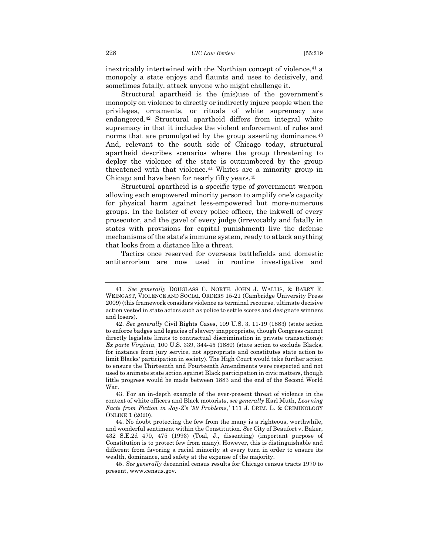sometimes fatally, attack anyone who might challenge it.

inextricably intertwined with the Northian concept of violence,<sup>41</sup> a monopoly a state enjoys and flaunts and uses to decisively, and

Structural apartheid is the (mis)use of the government's monopoly on violence to directly or indirectly injure people when the privileges, ornaments, or rituals of white supremacy are endangered.42 Structural apartheid differs from integral white supremacy in that it includes the violent enforcement of rules and norms that are promulgated by the group asserting dominance.<sup>43</sup> And, relevant to the south side of Chicago today, structural apartheid describes scenarios where the group threatening to deploy the violence of the state is outnumbered by the group threatened with that violence.44 Whites are a minority group in Chicago and have been for nearly fifty years.45

Structural apartheid is a specific type of government weapon allowing each empowered minority person to amplify one's capacity for physical harm against less-empowered but more-numerous groups. In the holster of every police officer, the inkwell of every prosecutor, and the gavel of every judge (irrevocably and fatally in states with provisions for capital punishment) live the defense mechanisms of the state's immune system, ready to attack anything that looks from a distance like a threat.

Tactics once reserved for overseas battlefields and domestic antiterrorism are now used in routine investigative and

<sup>41.</sup> *See generally* DOUGLASS C. NORTH, JOHN J. WALLIS, & BARRY R. WEINGAST, VIOLENCE AND SOCIAL ORDERS 15-21 (Cambridge University Press 2009) (this framework considers violence as terminal recourse, ultimate decisive action vested in state actors such as police to settle scores and designate winners and losers).

<sup>42.</sup> *See generally* Civil Rights Cases, 109 U.S. 3, 11-19 (1883) (state action to enforce badges and legacies of slavery inappropriate, though Congress cannot directly legislate limits to contractual discrimination in private transactions); *Ex parte Virginia*, 100 U.S. 339, 344-45 (1880) (state action to exclude Blacks, for instance from jury service, not appropriate and constitutes state action to limit Blacks' participation in society). The High Court would take further action to ensure the Thirteenth and Fourteenth Amendments were respected and not used to animate state action against Black participation in civic matters, though little progress would be made between 1883 and the end of the Second World War.

<sup>43.</sup> For an in-depth example of the ever-present threat of violence in the context of white officers and Black motorists, *see generally* Karl Muth, *Learning Facts from Fiction in Jay-Z's* '*99 Problems*,*'* 111 J. CRIM. L. & CRIMINOLOGY ONLINE 1 (2020).

<sup>44.</sup> No doubt protecting the few from the many is a righteous, worthwhile, and wonderful sentiment within the Constitution. *See* City of Beaufort v. Baker, 432 S.E.2d 470, 475 (1993) (Toal, J., dissenting) (important purpose of Constitution is to protect few from many). However, this is distinguishable and different from favoring a racial minority at every turn in order to ensure its wealth, dominance, and safety at the expense of the majority.

<sup>45.</sup> *See generally* decennial census results for Chicago census tracts 1970 to present, www.census.gov.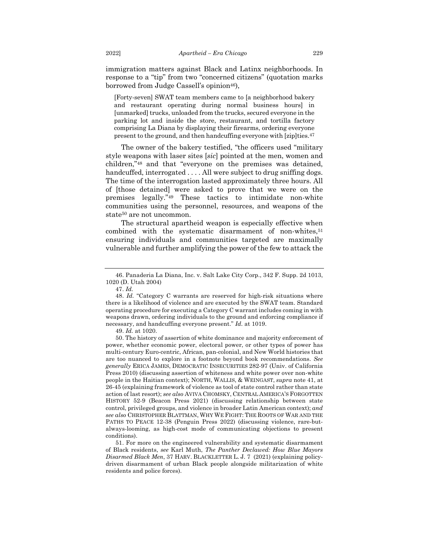immigration matters against Black and Latinx neighborhoods. In response to a "tip" from two "concerned citizens" (quotation marks borrowed from Judge Cassell's opinion<sup>46</sup>),

[Forty-seven] SWAT team members came to [a neighborhood bakery and restaurant operating during normal business hours] in [unmarked] trucks, unloaded from the trucks, secured everyone in the parking lot and inside the store, restaurant, and tortilla factory comprising La Diana by displaying their firearms, ordering everyone present to the ground, and then handcuffing everyone with [zip]ties.47

The owner of the bakery testified, "the officers used "military style weapons with laser sites [*sic*] pointed at the men, women and children,"48 and that "everyone on the premises was detained, handcuffed, interrogated . . . . All were subject to drug sniffing dogs. The time of the interrogation lasted approximately three hours. All of [those detained] were asked to prove that we were on the premises legally."49 These tactics to intimidate non-white communities using the personnel, resources, and weapons of the state<sup>50</sup> are not uncommon.

The structural apartheid weapon is especially effective when combined with the systematic disarmament of non-whites,<sup>51</sup> ensuring individuals and communities targeted are maximally vulnerable and further amplifying the power of the few to attack the

<sup>46.</sup> Panaderia La Diana, Inc. v. Salt Lake City Corp., 342 F. Supp. 2d 1013, 1020 (D. Utah 2004)

<sup>47.</sup> *Id.*

<sup>48.</sup> *Id.* "Category C warrants are reserved for high-risk situations where there is a likelihood of violence and are executed by the SWAT team. Standard operating procedure for executing a Category C warrant includes coming in with weapons drawn, ordering individuals to the ground and enforcing compliance if necessary, and handcuffing everyone present." *Id.* at 1019.

<sup>49.</sup> *Id.* at 1020.

<sup>50.</sup> The history of assertion of white dominance and majority enforcement of power, whether economic power, electoral power, or other types of power has multi-century Euro-centric, African, pan-colonial, and New World histories that are too nuanced to explore in a footnote beyond book recommendations. *See generally* ERICA JAMES, DEMOCRATIC INSECURITIES 282-97 (Univ. of California Press 2010) (discussing assertion of whiteness and white power over non-white people in the Haitian context); NORTH, WALLIS, & WEINGAST, *supra* note 41, at 26-45 (explaining framework of violence as tool of state control rather than state action of last resort); *see also* AVIVA CHOMSKY, CENTRAL AMERICA'S FORGOTTEN HISTORY 52-9 (Beacon Press 2021) (discussing relationship between state control, privileged groups, and violence in broader Latin American context); *and see also* CHRISTOPHER BLATTMAN, WHY WE FIGHT: THE ROOTS OF WAR AND THE PATHS TO PEACE 12-38 (Penguin Press 2022) (discussing violence, rare-butalways-looming, as high-cost mode of communicating objections to present conditions).

<sup>51.</sup> For more on the engineered vulnerability and systematic disarmament of Black residents, *see* Karl Muth, *The Panther Declawed: How Blue Mayors Disarmed Black Men*, 37 HARV. BLACKLETTER L. J. 7 (2021) (explaining policydriven disarmament of urban Black people alongside militarization of white residents and police forces).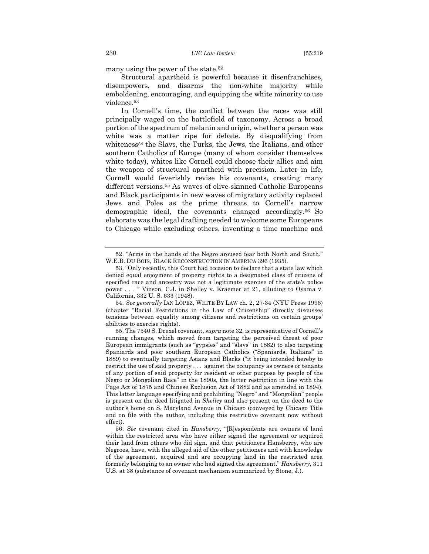many using the power of the state.52

Structural apartheid is powerful because it disenfranchises, disempowers, and disarms the non-white majority while emboldening, encouraging, and equipping the white minority to use violence.53

In Cornell's time, the conflict between the races was still principally waged on the battlefield of taxonomy. Across a broad portion of the spectrum of melanin and origin, whether a person was white was a matter ripe for debate. By disqualifying from whiteness<sup>54</sup> the Slavs, the Turks, the Jews, the Italians, and other southern Catholics of Europe (many of whom consider themselves white today), whites like Cornell could choose their allies and aim the weapon of structural apartheid with precision. Later in life, Cornell would feverishly revise his covenants, creating many different versions.55 As waves of olive-skinned Catholic Europeans and Black participants in new waves of migratory activity replaced Jews and Poles as the prime threats to Cornell's narrow demographic ideal, the covenants changed accordingly.56 So elaborate was the legal drafting needed to welcome some Europeans to Chicago while excluding others, inventing a time machine and

<sup>52.</sup> "Arms in the hands of the Negro aroused fear both North and South." W.E.B. DU BOIS, BLACK RECONSTRUCTION IN AMERICA 396 (1935).

<sup>53.</sup> "Only recently, this Court had occasion to declare that a state law which denied equal enjoyment of property rights to a designated class of citizens of specified race and ancestry was not a legitimate exercise of the state's police power . . . " Vinson, C.J. in Shelley v. Kraemer at 21, alluding to Oyama v. California, 332 U. S. 633 (1948).

<sup>54.</sup> *See generally* IAN LÓPEZ, WHITE BY LAW ch. 2, 27-34 (NYU Press 1996) (chapter "Racial Restrictions in the Law of Citizenship" directly discusses tensions between equality among citizens and restrictions on certain groups' abilities to exercise rights).

<sup>55.</sup> The 7540 S. Drexel covenant, *supra* note 32, is representative of Cornell's running changes, which moved from targeting the perceived threat of poor European immigrants (such as "gypsies" and "slavs" in 1882) to also targeting Spaniards and poor southern European Catholics ("Spaniards, Italians" in 1889) to eventually targeting Asians and Blacks ("it being intended hereby to restrict the use of said property . . . against the occupancy as owners or tenants of any portion of said property for resident or other purpose by people of the Negro or Mongolian Race" in the 1890s, the latter restriction in line with the Page Act of 1875 and Chinese Exclusion Act of 1882 and as amended in 1894). This latter language specifying and prohibiting "Negro" and "Mongolian" people is present on the deed litigated in *Shelley* and also present on the deed to the author's home on S. Maryland Avenue in Chicago (conveyed by Chicago Title and on file with the author, including this restrictive covenant now without effect).

<sup>56.</sup> *See* covenant cited in *Hansberry*, "[R]espondents are owners of land within the restricted area who have either signed the agreement or acquired their land from others who did sign, and that petitioners Hansberry, who are Negroes, have, with the alleged aid of the other petitioners and with knowledge of the agreement, acquired and are occupying land in the restricted area formerly belonging to an owner who had signed the agreement." *Hansberry*, 311 U.S. at 38 (substance of covenant mechanism summarized by Stone, J.).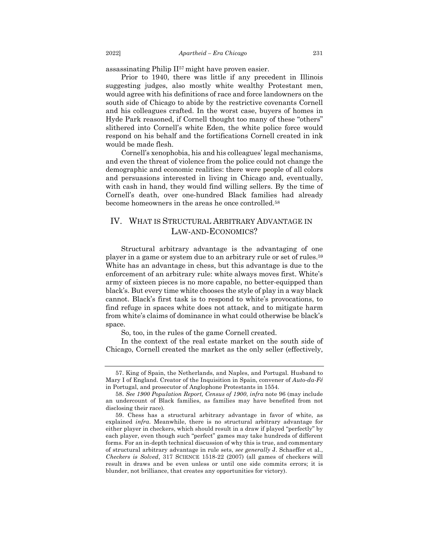assassinating Philip II57 might have proven easier.

Prior to 1940, there was little if any precedent in Illinois suggesting judges, also mostly white wealthy Protestant men, would agree with his definitions of race and force landowners on the south side of Chicago to abide by the restrictive covenants Cornell and his colleagues crafted. In the worst case, buyers of homes in Hyde Park reasoned, if Cornell thought too many of these "others" slithered into Cornell's white Eden, the white police force would respond on his behalf and the fortifications Cornell created in ink would be made flesh.

Cornell's xenophobia, his and his colleagues' legal mechanisms, and even the threat of violence from the police could not change the demographic and economic realities: there were people of all colors and persuasions interested in living in Chicago and, eventually, with cash in hand, they would find willing sellers. By the time of Cornell's death, over one-hundred Black families had already become homeowners in the areas he once controlled.58

## IV. WHAT IS STRUCTURAL ARBITRARY ADVANTAGE IN LAW-AND-ECONOMICS?

Structural arbitrary advantage is the advantaging of one player in a game or system due to an arbitrary rule or set of rules.59 White has an advantage in chess, but this advantage is due to the enforcement of an arbitrary rule: white always moves first. White's army of sixteen pieces is no more capable, no better-equipped than black's. But every time white chooses the style of play in a way black cannot. Black's first task is to respond to white's provocations, to find refuge in spaces white does not attack, and to mitigate harm from white's claims of dominance in what could otherwise be black's space.

So, too, in the rules of the game Cornell created.

In the context of the real estate market on the south side of Chicago, Cornell created the market as the only seller (effectively,

<sup>57.</sup> King of Spain, the Netherlands, and Naples, and Portugal. Husband to Mary I of England. Creator of the Inquisition in Spain, convener of *Auto-da-Fé* in Portugal, and prosecutor of Anglophone Protestants in 1554.

<sup>58.</sup> *See 1900 Population Report, Census of 1900*, *infra* note 96 (may include an undercount of Black families, as families may have benefited from not disclosing their race)*.*

<sup>59.</sup> Chess has a structural arbitrary advantage in favor of white, as explained *infra*. Meanwhile, there is no structural arbitrary advantage for either player in checkers, which should result in a draw if played "perfectly" by each player, even though such "perfect" games may take hundreds of different forms. For an in-depth technical discussion of why this is true, and commentary of structural arbitrary advantage in rule sets, *see generally* J. Schaeffer et al., *Checkers is Solved*, 317 SCIENCE 1518-22 (2007) (all games of checkers will result in draws and be even unless or until one side commits errors; it is blunder, not brilliance, that creates any opportunities for victory).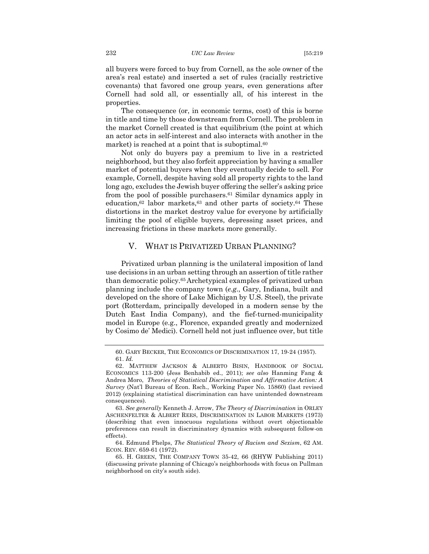all buyers were forced to buy from Cornell, as the sole owner of the area's real estate) and inserted a set of rules (racially restrictive covenants) that favored one group years, even generations after Cornell had sold all, or essentially all, of his interest in the properties.

The consequence (or, in economic terms, cost) of this is borne in title and time by those downstream from Cornell. The problem in the market Cornell created is that equilibrium (the point at which an actor acts in self-interest and also interacts with another in the market) is reached at a point that is suboptimal.<sup>60</sup>

Not only do buyers pay a premium to live in a restricted neighborhood, but they also forfeit appreciation by having a smaller market of potential buyers when they eventually decide to sell. For example, Cornell, despite having sold all property rights to the land long ago, excludes the Jewish buyer offering the seller's asking price from the pool of possible purchasers.61 Similar dynamics apply in education,62 labor markets,63 and other parts of society.64 These distortions in the market destroy value for everyone by artificially limiting the pool of eligible buyers, depressing asset prices, and increasing frictions in these markets more generally.

### V. WHAT IS PRIVATIZED URBAN PLANNING?

Privatized urban planning is the unilateral imposition of land use decisions in an urban setting through an assertion of title rather than democratic policy.65 Archetypical examples of privatized urban planning include the company town (*e.g*., Gary, Indiana, built and developed on the shore of Lake Michigan by U.S. Steel), the private port (Rotterdam, principally developed in a modern sense by the Dutch East India Company), and the fief-turned-municipality model in Europe (e.g., Florence, expanded greatly and modernized by Cosimo de' Medici). Cornell held not just influence over, but title

<sup>60.</sup> GARY BECKER, THE ECONOMICS OF DISCRIMINATION 17, 19-24 (1957). 61. *Id.*

<sup>62.</sup> MATTHEW JACKSON & ALBERTO BISIN, HANDBOOK OF SOCIAL ECONOMICS 113-200 (Jess Benhabib ed., 2011); *see also* Hanming Fang & Andrea Moro, *Theories of Statistical Discrimination and Affirmative Action: A Survey* (Nat'l Bureau of Econ. Rsch., Working Paper No. 15860) (last revised 2012) (explaining statistical discrimination can have unintended downstream consequences).

<sup>63.</sup> *See generally* Kenneth J. Arrow, *The Theory of Discrimination* in ORLEY ASCHENFELTER & ALBERT REES, DISCRIMINATION IN LABOR MARKETS (1973) (describing that even innocuous regulations without overt objectionable preferences can result in discriminatory dynamics with subsequent follow-on effects).

<sup>64.</sup> Edmund Phelps, *The Statistical Theory of Racism and Sexism*, 62 AM. ECON. REV. 659-61 (1972).

<sup>65.</sup> H. GREEN, THE COMPANY TOWN 35-42, 66 (RHYW Publishing 2011) (discussing private planning of Chicago's neighborhoods with focus on Pullman neighborhood on city's south side).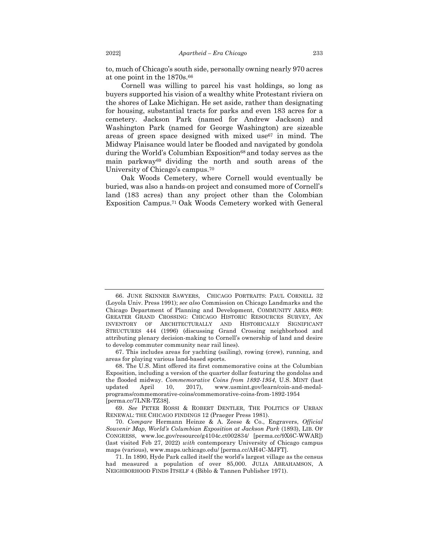to, much of Chicago's south side, personally owning nearly 970 acres at one point in the 1870s.66

Cornell was willing to parcel his vast holdings, so long as buyers supported his vision of a wealthy white Protestant riviera on the shores of Lake Michigan. He set aside, rather than designating for housing, substantial tracts for parks and even 183 acres for a cemetery. Jackson Park (named for Andrew Jackson) and Washington Park (named for George Washington) are sizeable areas of green space designed with mixed use<sup>67</sup> in mind. The Midway Plaisance would later be flooded and navigated by gondola during the World's Columbian Exposition<sup>68</sup> and today serves as the main parkway69 dividing the north and south areas of the University of Chicago's campus.70

Oak Woods Cemetery, where Cornell would eventually be buried, was also a hands-on project and consumed more of Cornell's land (183 acres) than any project other than the Colombian Exposition Campus.71 Oak Woods Cemetery worked with General

67. This includes areas for yachting (sailing), rowing (crew), running, and areas for playing various land-based sports.

<sup>66.</sup> JUNE SKINNER SAWYERS, CHICAGO PORTRAITS: PAUL CORNELL 32 (Loyola Univ. Press 1991); *see also* Commission on Chicago Landmarks and the Chicago Department of Planning and Development, COMMUNITY AREA #69: GREATER GRAND CROSSING: CHICAGO HISTORIC RESOURCES SURVEY, AN INVENTORY OF ARCHITECTURALLY AND HISTORICALLY SIGNIFICANT STRUCTURES 444 (1996) (discussing Grand Crossing neighborhood and attributing plenary decision-making to Cornell's ownership of land and desire to develop commuter community near rail lines).

<sup>68.</sup> The U.S. Mint offered its first commemorative coins at the Columbian Exposition, including a version of the quarter dollar featuring the gondolas and the flooded midway. *Commemorative Coins from 1892-1954*, U.S. MINT (last updated April 10, 2017), www.usmint.gov/learn/coin-and-medalprograms/commemorative-coins/commemorative-coins-from-1892-1954 [perma.cc/7LNR-TZ38].

<sup>69.</sup> *See* PETER ROSSI & ROBERT DENTLER, THE POLITICS OF URBAN RENEWAL: THE CHICAGO FINDINGS 12 (Praeger Press 1981).

<sup>70.</sup> *Compare* Hermann Heinze & A. Zeese & Co., Engravers, *Official Souvenir Map, World's Columbian Exposition at Jackson Park* (1893), LIB. OF CONGRESS, www.loc.gov/resource/g4104c.ct002834/ [perma.cc/9X6C-WWAR]) (last visited Feb 27, 2022) *with* contemporary University of Chicago campus maps (various), www.maps.uchicago.edu/ [perma.cc/AH4C-MJFT].

<sup>71.</sup> In 1890, Hyde Park called itself the world's largest village as the census had measured a population of over 85,000. JULIA ABRAHAMSON, A NEIGHBORHOOD FINDS ITSELF 4 (Biblo & Tannen Publisher 1971).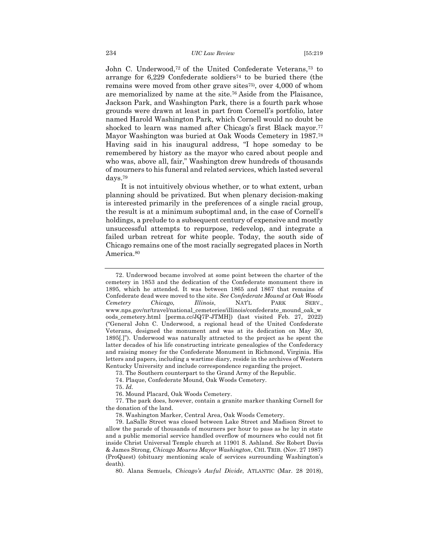John C. Underwood,72 of the United Confederate Veterans,73 to arrange for 6,229 Confederate soldiers74 to be buried there (the remains were moved from other grave sites<sup>75</sup>, over 4,000 of whom are memorialized by name at the site.76 Aside from the Plaisance, Jackson Park, and Washington Park, there is a fourth park whose grounds were drawn at least in part from Cornell's portfolio, later named Harold Washington Park, which Cornell would no doubt be shocked to learn was named after Chicago's first Black mayor.<sup>77</sup> Mayor Washington was buried at Oak Woods Cemetery in 1987.78 Having said in his inaugural address, "I hope someday to be remembered by history as the mayor who cared about people and who was, above all, fair," Washington drew hundreds of thousands of mourners to his funeral and related services, which lasted several days.79

It is not intuitively obvious whether, or to what extent, urban planning should be privatized. But when plenary decision-making is interested primarily in the preferences of a single racial group, the result is at a minimum suboptimal and, in the case of Cornell's holdings, a prelude to a subsequent century of expensive and mostly unsuccessful attempts to repurpose, redevelop, and integrate a failed urban retreat for white people. Today, the south side of Chicago remains one of the most racially segregated places in North America.80

75. *Id.*

<sup>72.</sup> Underwood became involved at some point between the charter of the cemetery in 1853 and the dedication of the Confederate monument there in 1895, which he attended. It was between 1865 and 1867 that remains of Confederate dead were moved to the site. *See Confederate Mound at Oak Woods Cemetery Chicago, Illinois*, NAT'L PARK SERV., www.nps.gov/nr/travel/national\_cemeteries/illinois/confederate\_mound\_oak\_w oods\_cemetery.html [perma.cc/JQ7P-JTMH]) (last visited Feb. 27, 2022) ("General John C. Underwood, a regional head of the United Confederate Veterans, designed the monument and was at its dedication on May 30, 1895[.]"). Underwood was naturally attracted to the project as he spent the latter decades of his life constructing intricate genealogies of the Confederacy and raising money for the Confederate Monument in Richmond, Virginia. His letters and papers, including a wartime diary, reside in the archives of Western Kentucky University and include correspondence regarding the project.

<sup>73.</sup> The Southern counterpart to the Grand Army of the Republic.

<sup>74.</sup> Plaque, Confederate Mound, Oak Woods Cemetery.

<sup>76.</sup> Mound Placard, Oak Woods Cemetery.

<sup>77.</sup> The park does, however, contain a granite marker thanking Cornell for the donation of the land.

<sup>78.</sup> Washington Marker, Central Area, Oak Woods Cemetery.

<sup>79.</sup> LaSalle Street was closed between Lake Street and Madison Street to allow the parade of thousands of mourners per hour to pass as he lay in state and a public memorial service handled overflow of mourners who could not fit inside Christ Universal Temple church at 11901 S. Ashland. *See* Robert Davis & James Strong, *Chicago Mourns Mayor Washington*, CHI. TRIB. (Nov. 27 1987) (ProQuest) (obituary mentioning scale of services surrounding Washington's death).

<sup>80.</sup> Alana Semuels, *Chicago's Awful Divide*, ATLANTIC (Mar. 28 2018),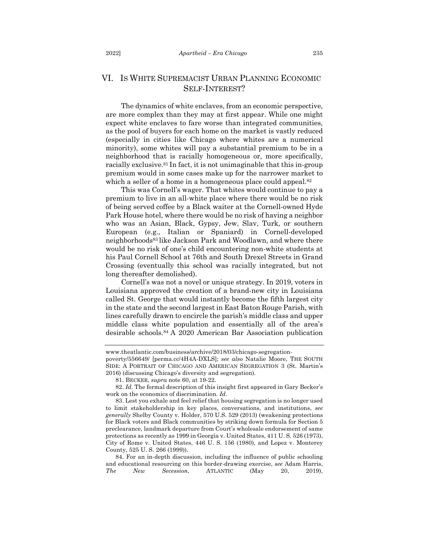## VI. IS WHITE SUPREMACIST URBAN PLANNING ECONOMIC SELF-INTEREST?

The dynamics of white enclaves, from an economic perspective, are more complex than they may at first appear. While one might expect white enclaves to fare worse than integrated communities, as the pool of buyers for each home on the market is vastly reduced (especially in cities like Chicago where whites are a numerical minority), some whites will pay a substantial premium to be in a neighborhood that is racially homogeneous or, more specifically, racially exclusive.81 In fact, it is not unimaginable that this in-group premium would in some cases make up for the narrower market to which a seller of a home in a homogeneous place could appeal.<sup>82</sup>

This was Cornell's wager. That whites would continue to pay a premium to live in an all-white place where there would be no risk of being served coffee by a Black waiter at the Cornell-owned Hyde Park House hotel, where there would be no risk of having a neighbor who was an Asian, Black, Gypsy, Jew, Slav, Turk, or southern European (e.g., Italian or Spaniard) in Cornell-developed neighborhoods83 like Jackson Park and Woodlawn, and where there would be no risk of one's child encountering non-white students at his Paul Cornell School at 76th and South Drexel Streets in Grand Crossing (eventually this school was racially integrated, but not long thereafter demolished).

Cornell's was not a novel or unique strategy. In 2019, voters in Louisiana approved the creation of a brand-new city in Louisiana called St. George that would instantly become the fifth largest city in the state and the second largest in East Baton Rouge Parish, with lines carefully drawn to encircle the parish's middle class and upper middle class white population and essentially all of the area's desirable schools.84 A 2020 American Bar Association publication

www.theatlantic.com/business/archive/2018/03/chicago-segregation-

poverty/556649/ [perma.cc/4H4A-DXLS]; *see also* Natalie Moore, THE SOUTH SIDE: A PORTRAIT OF CHICAGO AND AMERICAN SEGREGATION 3 (St. Martin's 2016) (discussing Chicago's diversity and segregation).

<sup>81.</sup> BECKER, *supra* note 60, at 19-22.

<sup>82.</sup> *Id*. The formal description of this insight first appeared in Gary Becker's work on the economics of discrimination. *Id*.

<sup>83.</sup> Lest you exhale and feel relief that housing segregation is no longer used to limit stakeholdership in key places, conversations, and institutions, *see generally* Shelby County v. Holder, 570 U.S. 529 (2013) (weakening protections for Black voters and Black communities by striking down formula for Section 5 preclearance, landmark departure from Court's wholesale endorsement of same protections as recently as 1999 in Georgia v. United States, 411 U. S. 526 (1973), City of Rome v. United States, 446 U. S. 156 (1980), and Lopez v. Monterey County, 525 U. S. 266 (1999)).

<sup>84.</sup> For an in-depth discussion, including the influence of public schooling and educational resourcing on this border-drawing exercise, *see* Adam Harris, *The New Secession*, ATLANTIC (May 20, 2019),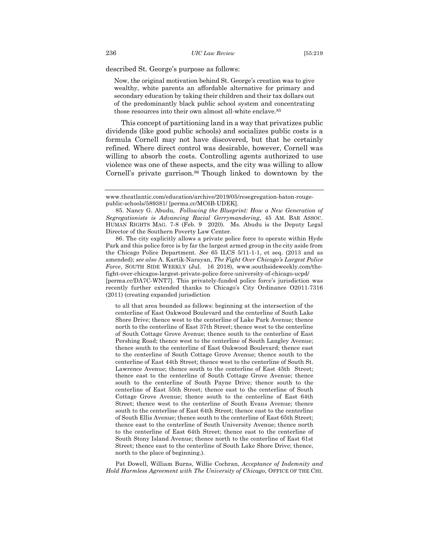described St. George's purpose as follows:

Now, the original motivation behind St. George's creation was to give wealthy, white parents an affordable alternative for primary and secondary education by taking their children and their tax dollars out of the predominantly black public school system and concentrating those resources into their own almost all-white enclave.85

This concept of partitioning land in a way that privatizes public dividends (like good public schools) and socializes public costs is a formula Cornell may not have discovered, but that he certainly refined. Where direct control was desirable, however, Cornell was willing to absorb the costs. Controlling agents authorized to use violence was one of these aspects, and the city was willing to allow Cornell's private garrison.<sup>86</sup> Though linked to downtown by the

86. The city explicitly allows a private police force to operate within Hyde Park and this police force is by far the largest armed group in the city aside from the Chicago Police Department. *See* 65 ILCS 5/11-1-1, et seq. (2013 and as amended); *see also* A. Kartik-Narayan, *The Fight Over Chicago's Largest Police Force*, SOUTH SIDE WEEKLY (Jul. 16 2018), www.southsideweekly.com/thefight-over-chicagos-largest-private-police-force-university-of-chicago-ucpd/ [perma.cc/DA7C-WNT7]. This privately-funded police force's jurisdiction was recently further extended thanks to Chicago's City Ordinance O2011-7316 (2011) (creating expanded jurisdiction

to all that area bounded as follows: beginning at the intersection of the centerline of East Oakwood Boulevard and the centerline of South Lake Shore Drive; thence west to the centerline of Lake Park Avenue; thence north to the centerline of East 37th Street; thence west to the centerline of South Cottage Grove Avenue; thence south to the centerline of East Pershing Road; thence west to the centerline of South Langley Avenue; thence south to the centerline of East Oakwood Boulevard; thence east to the centerline of South Cottage Grove Avenue; thence south to the centerline of East 44th Street; thence west to the centerline of South St. Lawrence Avenue; thence south to the centerline of East 45th Street; thence east to the centerline of South Cottage Grove Avenue; thence south to the centerline of South Payne Drive; thence south to the centerline of East 55th Street; thence east to the centerline of South Cottage Grove Avenue; thence south to the centerline of East 64th Street; thence west to the centerline of South Evans Avenue; thence south to the centerline of East 64th Street; thence east to the centerline of South Ellis Avenue; thence south to the centerline of East 65th Street; thence east to the centerline of South University Avenue; thence north to the centerline of East 64th Street; thence east to the centerline of South Stony Island Avenue; thence north to the centerline of East 61st Street; thence east to the centerline of South Lake Shore Drive; thence, north to the place of beginning.).

Pat Dowell, William Burns, Willie Cochran, *Acceptance of Indemnity and Hold Harmless Agreement with The University of Chicago*, OFFICE OF THE CHI.

www.theatlantic.com/education/archive/2019/05/resegregation-baton-rougepublic-schools/589381/ [perma.cc/MC6B-UDEK].

<sup>85.</sup> Nancy G. Abudu, *Following the Blueprint: How a New Generation of Segregationists is Advancing Racial Gerrymandering*, 45 AM. BAR ASSOC. HUMAN RIGHTS MAG. 7-8 (Feb. 9 2020). Ms. Abudu is the Deputy Legal Director of the Southern Poverty Law Center.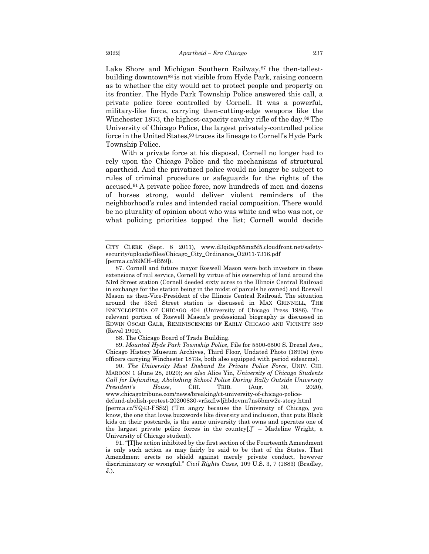Lake Shore and Michigan Southern Railway,<sup>87</sup> the then-tallestbuilding downtown88 is not visible from Hyde Park, raising concern as to whether the city would act to protect people and property on its frontier. The Hyde Park Township Police answered this call, a private police force controlled by Cornell. It was a powerful, military-like force, carrying then-cutting-edge weapons like the Winchester 1873, the highest-capacity cavalry rifle of the day.<sup>89</sup> The University of Chicago Police, the largest privately-controlled police force in the United States,90 traces its lineage to Cornell's Hyde Park Township Police.

With a private force at his disposal, Cornell no longer had to rely upon the Chicago Police and the mechanisms of structural apartheid. And the privatized police would no longer be subject to rules of criminal procedure or safeguards for the rights of the accused.91 A private police force, now hundreds of men and dozens of horses strong, would deliver violent reminders of the neighborhood's rules and intended racial composition. There would be no plurality of opinion about who was white and who was not, or what policing priorities topped the list; Cornell would decide

88. The Chicago Board of Trade Building.

89. *Mounted Hyde Park Township Police*, File for 5500-6500 S. Drexel Ave., Chicago History Museum Archives, Third Floor, Undated Photo (1890s) (two officers carrying Winchester 1873s, both also equipped with period sidearms).

90. *The University Must Disband Its Private Police Force*, UNIV. CHI. MAROON 1 (June 28, 2020); *see also* Alice Yin, *University of Chicago Students Call for Defunding, Abolishing School Police During Rally Outside University President's House*, CHI. TRIB. (Aug. 30, 2020), www.chicagotribune.com/news/breaking/ct-university-of-chicago-policedefund-abolish-protest-20200830-vrfsxflwljhbdovnu7ns5bmw2e-story.html

[perma.cc/YQ43-FSS2] ("I'm angry because the University of Chicago, you know, the one that loves buzzwords like diversity and inclusion, that puts Black kids on their postcards, is the same university that owns and operates one of the largest private police forces in the country[.]" – Madeline Wright, a University of Chicago student).

91. "[T]he action inhibited by the first section of the Fourteenth Amendment is only such action as may fairly be said to be that of the States. That Amendment erects no shield against merely private conduct, however discriminatory or wrongful." *Civil Rights Cases*, 109 U.S. 3, 7 (1883) (Bradley, J.).

CITY CLERK (Sept. 8 2011), www.d3qi0qp55mx5f5.cloudfront.net/safetysecurity/uploads/files/Chicago\_City\_Ordinance\_O2011-7316.pdf [perma.cc/89MH-4B59]).

<sup>87.</sup> Cornell and future mayor Roswell Mason were both investors in these extensions of rail service, Cornell by virtue of his ownership of land around the 53rd Street station (Cornell deeded sixty acres to the Illinois Central Railroad in exchange for the station being in the midst of parcels he owned) and Roswell Mason as then-Vice-President of the Illinois Central Railroad. The situation around the 53rd Street station is discussed in MAX GRINNELL, THE ENCYCLOPEDIA OF CHICAGO 404 (University of Chicago Press 1986). The relevant portion of Roswell Mason's professional biography is discussed in EDWIN OSCAR GALE, REMINISCENCES OF EARLY CHICAGO AND VICINITY 389 (Revel 1902).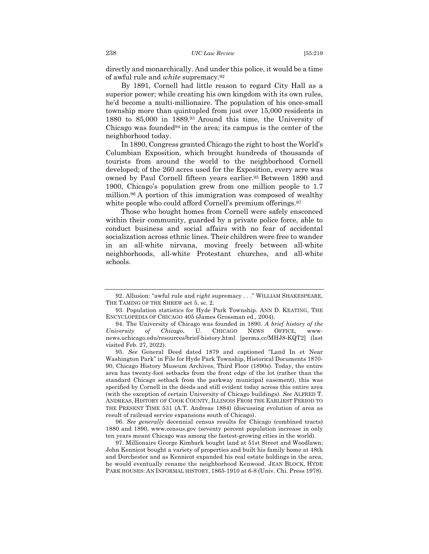directly and monarchically. And under this police, it would be a time of awful rule and *white* supremacy.92

By 1891, Cornell had little reason to regard City Hall as a superior power; while creating his own kingdom with its own rules, he'd become a multi-millionaire. The population of his once-small township more than quintupled from just over 15,000 residents in 1880 to 85,000 in 1889.93 Around this time, the University of Chicago was founded $94$  in the area; its campus is the center of the neighborhood today.

In 1890, Congress granted Chicago the right to host the World's Columbian Exposition, which brought hundreds of thousands of tourists from around the world to the neighborhood Cornell developed; of the 260 acres used for the Exposition, every acre was owned by Paul Cornell fifteen years earlier.95 Between 1890 and 1900, Chicago's population grew from one million people to 1.7 million.96 A portion of this immigration was composed of wealthy white people who could afford Cornell's premium offerings.<sup>97</sup>

Those who bought homes from Cornell were safely ensconced within their community, guarded by a private police force, able to conduct business and social affairs with no fear of accidental socialization across ethnic lines. Their children were free to wander in an all-white nirvana, moving freely between all-white neighborhoods, all-white Protestant churches, and all-white schools.

<sup>92.</sup> Allusion: "awful rule and *right* supremacy . . ." WILLIAM SHAKESPEARE, THE TAMING OF THE SHREW act 5, sc. 2.

<sup>93.</sup> Population statistics for Hyde Park Township. ANN D. KEATING, THE ENCYCLOPEDIA OF CHICAGO 405 (James Grossman ed., 2004).

<sup>94.</sup> The University of Chicago was founded in 1890. *A brief history of the University of Chicago*, U. CHICAGO NEWS OFFICE, wwwnews.uchicago.edu/resources/brief-history.html [perma.cc/MHJ8-KQT2] (last visited Feb. 27, 2022).

<sup>95.</sup> *See* General Deed dated 1879 and captioned "Land In et Near Washington Park" in File for Hyde Park Township, Historical Documents 1870- 90, Chicago History Museum Archives, Third Floor (1890s). Today, the entire area has twenty-foot setbacks from the front edge of the lot (rather than the standard Chicago setback from the parkway municipal easement), this was specified by Cornell in the deeds and still evident today across this entire area (with the exception of certain University of Chicago buildings). *See* ALFRED T. ANDREAS, HISTORY OF COOK COUNTY, ILLINOIS FROM THE EARLIEST PERIOD TO THE PRESENT TIME 531 (A.T. Andreas 1884) (discussing evolution of area as result of railroad service expansions south of Chicago).

<sup>96.</sup> *See generally* decennial census results for Chicago (combined tracts) 1880 and 1890, www.census.gov (seventy percent population increase in only ten years meant Chicago was among the fastest-growing cities in the world).

<sup>97.</sup> Millionaire George Kimbark bought land at 51st Street and Woodlawn; John Kennicot bought a variety of properties and built his family home at 48th and Dorchester and as Kennicot expanded his real estate holdings in the area, he would eventually rename the neighborhood Kenwood. JEAN BLOCK, HYDE PARK HOUSES: AN INFORMAL HISTORY, 1865-1910 at 6-8 (Univ. Chi. Press 1978).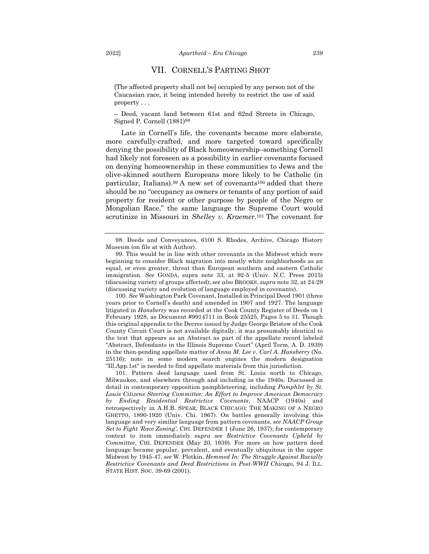#### VII. CORNELL'S PARTING SHOT

[The affected property shall not be] occupied by any person not of the Caucasian race, it being intended hereby to restrict the use of said property . . .

– Deed, vacant land between 61st and 62nd Streets in Chicago, Signed P. Cornell (1881)98

Late in Cornell's life, the covenants became more elaborate, more carefully-crafted, and more targeted toward specifically denying the possibility of Black homeownership–something Cornell had likely not foreseen as a possibility in earlier covenants focused on denying homeownership in these communities to Jews and the olive-skinned southern Europeans more likely to be Catholic (in particular, Italians).<sup>99</sup> A new set of covenants<sup>100</sup> added that there should be no "occupancy as owners or tenants of any portion of said property for resident or other purpose by people of the Negro or Mongolian Race," the same language the Supreme Court would scrutinize in Missouri in *Shelley v. Kraemer*.101 The covenant for

100. *See* Washington Park Covenant, Installed in Principal Deed 1901 (three years prior to Cornell's death) and amended in 1907 and 1927. The language litigated in *Hansberry* was recorded at the Cook County Register of Deeds on 1 February 1928, as Document #9914711 in Book 25525, Pages 5 to 31. Though this original appendix to the Decree issued by Judge George Bristow of the Cook County Circuit Court is not available digitally, it was presumably identical to the text that appears as an Abstract as part of the appellate record labeled "Abstract, Defendants in the Illinois Supreme Court" (April Term, A. D. 1939) in the then-pending appellate matter of *Anna M. Lee v. Carl A. Hansberry* (No. 25116); note in some modern search engines the modern designation "Ill.App.1st" is needed to find appellate materials from this jurisdiction.

101. Pattern deed language used from St. Louis north to Chicago, Milwaukee, and elsewhere through and including in the 1940s. Discussed in detail in contemporary opposition pamphleteering, including *Pamphlet by St. Louis Citizens Steering Committee: An Effort to Improve American Democracy by Ending Residential Restrictive Covenants*, NAACP (1940s) and retrospectively in A.H.B. SPEAR, BLACK CHICAGO: THE MAKING OF A NEGRO GHETTO, 1890-1920 (Univ. Chi. 1967). On battles generally involving this language and very similar language from pattern covenants, *see NAACP Group Set to Fight 'Race Zoning'*, CHI. DEFENDER 1 (June 26, 1937); for contemporary context to item immediately *supra see Restrictive Covenants Upheld by Committee*, CHI. DEFENDER (May 20, 1939). For more on how pattern deed language became popular, prevalent, and eventually ubiquitous in the upper Midwest by 1945-47, *see* W. Plotkin, *Hemmed In: The Struggle Against Racially Restrictive Covenants and Deed Restrictions in Post-WWII Chicago*, 94 J. ILL. STATE HIST. SOC. 39-69 (2001).

<sup>98.</sup> Deeds and Conveyances, 6100 S. Rhodes, Archive, Chicago History Museum (on file at with Author).

<sup>99.</sup> This would be in line with other covenants in the Midwest which were beginning to consider Black migration into mostly white neighborhoods as an equal, or even greater, threat than European southern and eastern Catholic immigration. *See* GONDA, supra note 33, at 92-5 (Univ. N.C. Press 2015) (discussing variety of groups affected); *see also* BROOKS, *supra* note 32, at 24-29 (discussing variety and evolution of language employed in covenants).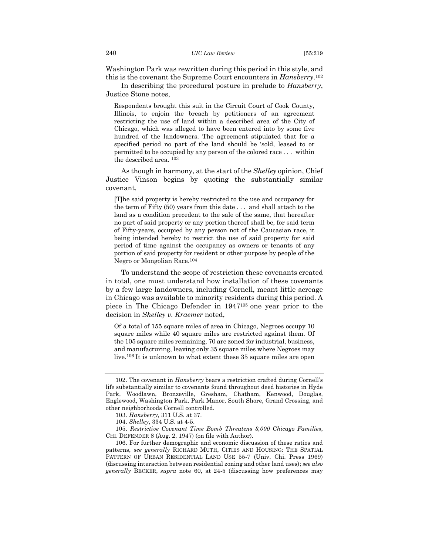Washington Park was rewritten during this period in this style, and this is the covenant the Supreme Court encounters in *Hansberry*.102

In describing the procedural posture in prelude to *Hansberry*, Justice Stone notes,

Respondents brought this suit in the Circuit Court of Cook County, Illinois, to enjoin the breach by petitioners of an agreement restricting the use of land within a described area of the City of Chicago, which was alleged to have been entered into by some five hundred of the landowners. The agreement stipulated that for a specified period no part of the land should be 'sold, leased to or permitted to be occupied by any person of the colored race . . . within the described area. <sup>103</sup>

As though in harmony, at the start of the *Shelley* opinion, Chief Justice Vinson begins by quoting the substantially similar covenant,

[T]he said property is hereby restricted to the use and occupancy for the term of Fifty (50) years from this date . . . and shall attach to the land as a condition precedent to the sale of the same, that hereafter no part of said property or any portion thereof shall be, for said term of Fifty-years, occupied by any person not of the Caucasian race, it being intended hereby to restrict the use of said property for said period of time against the occupancy as owners or tenants of any portion of said property for resident or other purpose by people of the Negro or Mongolian Race.104

To understand the scope of restriction these covenants created in total, one must understand how installation of these covenants by a few large landowners, including Cornell, meant little acreage in Chicago was available to minority residents during this period. A piece in The Chicago Defender in 1947105 one year prior to the decision in *Shelley v. Kraemer* noted,

Of a total of 155 square miles of area in Chicago, Negroes occupy 10 square miles while 40 square miles are restricted against them. Of the 105 square miles remaining, 70 are zoned for industrial, business, and manufacturing, leaving only 35 square miles where Negroes may live.106 It is unknown to what extent these 35 square miles are open

<sup>102.</sup> The covenant in *Hansberry* bears a restriction crafted during Cornell's life substantially similar to covenants found throughout deed histories in Hyde Park, Woodlawn, Bronzeville, Gresham, Chatham, Kenwood, Douglas, Englewood, Washington Park, Park Manor, South Shore, Grand Crossing, and other neighborhoods Cornell controlled.

<sup>103.</sup> *Hansberry*, 311 U.S. at 37.

<sup>104.</sup> *Shelley*, 334 U.S. at 4-5.

<sup>105.</sup> *Restrictive Covenant Time Bomb Threatens 3,000 Chicago Families*, CHI. DEFENDER 8 (Aug. 2, 1947) (on file with Author).

<sup>106.</sup> For further demographic and economic discussion of these ratios and patterns, *see generally* RICHARD MUTH, CITIES AND HOUSING: THE SPATIAL PATTERN OF URBAN RESIDENTIAL LAND USE 55-7 (Univ. Chi. Press 1969) (discussing interaction between residential zoning and other land uses); *see also generally* BECKER, *supra* note 60, at 24-5 (discussing how preferences may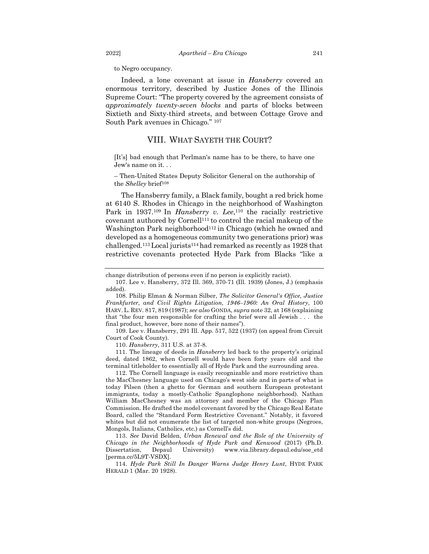to Negro occupancy.

Indeed, a lone covenant at issue in *Hansberry* covered an enormous territory, described by Justice Jones of the Illinois Supreme Court: "The property covered by the agreement consists of *approximately twenty-seven blocks* and parts of blocks between Sixtieth and Sixty-third streets, and between Cottage Grove and South Park avenues in Chicago." <sup>107</sup>

## VIII. WHAT SAYETH THE COURT?

[It's] bad enough that Perlman's name has to be there, to have one Jew's name on it. . .

– Then-United States Deputy Solicitor General on the authorship of the *Shelley* brief<sup>108</sup>

The Hansberry family, a Black family, bought a red brick home at 6140 S. Rhodes in Chicago in the neighborhood of Washington Park in 1937.<sup>109</sup> In *Hansberry v. Lee*,<sup>110</sup> the racially restrictive covenant authored by Cornell111 to control the racial makeup of the Washington Park neighborhood<sup>112</sup> in Chicago (which he owned and developed as a homogeneous community two generations prior) was challenged.113Local jurists114 had remarked as recently as 1928 that restrictive covenants protected Hyde Park from Blacks "like a

110. *Hansberry*, 311 U.S. at 37-8.

111. The lineage of deeds in *Hansberry* led back to the property's original deed, dated 1862, when Cornell would have been forty years old and the terminal titleholder to essentially all of Hyde Park and the surrounding area.

112. The Cornell language is easily recognizable and more restrictive than the MacChesney language used on Chicago's west side and in parts of what is today Pilsen (then a ghetto for German and southern European protestant immigrants, today a mostly-Catholic Spanglophone neighborhood). Nathan William MacChesney was an attorney and member of the Chicago Plan Commission. He drafted the model covenant favored by the Chicago Real Estate Board, called the "Standard Form Restrictive Covenant." Notably, it favored whites but did not enumerate the list of targeted non-white groups (Negroes, Mongols, Italians, Catholics, etc.) as Cornell's did.

113. *See* David Belden, *Urban Renewal and the Role of the University of Chicago in the Neighborhoods of Hyde Park and Kenwood* (2017) (Ph.D. Dissertation, Depaul University) www.via.library.depaul.edu/soe\_etd [perma.cc/5L9T-VSDX].

114. *Hyde Park Still In Danger Warns Judge Henry Lunt*, HYDE PARK HERALD 1 (Mar. 20 1928).

change distribution of persons even if no person is explicitly racist).

<sup>107.</sup> Lee v. Hansberry, 372 Ill. 369, 370-71 (Ill. 1939) (Jones, J.) (emphasis added).

<sup>108.</sup> Philip Elman & Norman Silber, *The Solicitor General's Office, Justice Frankfurter, and Civil Rights Litigation, 1946–1960: An Oral History*, 100 HARV. L. REV. 817, 819 (1987); *see also* GONDA, *supra* note 32, at 168 (explaining that "the four men responsible for crafting the brief were all Jewish . . . the final product, however, bore none of their names").

<sup>109.</sup> Lee v. Hansberry, 291 Ill. App. 517, 522 (1937) (on appeal from Circuit Court of Cook County).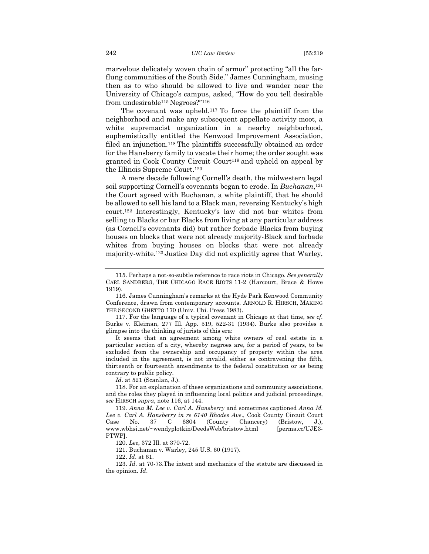marvelous delicately woven chain of armor" protecting "all the farflung communities of the South Side." James Cunningham, musing then as to who should be allowed to live and wander near the University of Chicago's campus, asked, "How do you tell desirable from undesirable115 Negroes?"116

The covenant was upheld.117 To force the plaintiff from the neighborhood and make any subsequent appellate activity moot, a white supremacist organization in a nearby neighborhood, euphemistically entitled the Kenwood Improvement Association, filed an injunction.118 The plaintiffs successfully obtained an order for the Hansberry family to vacate their home; the order sought was granted in Cook County Circuit Court<sup>119</sup> and upheld on appeal by the Illinois Supreme Court.120

A mere decade following Cornell's death, the midwestern legal soil supporting Cornell's covenants began to erode. In *Buchanan*,121 the Court agreed with Buchanan, a white plaintiff, that he should be allowed to sell his land to a Black man, reversing Kentucky's high court.122 Interestingly, Kentucky's law did not bar whites from selling to Blacks or bar Blacks from living at any particular address (as Cornell's covenants did) but rather forbade Blacks from buying houses on blocks that were not already majority-Black and forbade whites from buying houses on blocks that were not already majority-white.123 Justice Day did not explicitly agree that Warley,

117. For the language of a typical covenant in Chicago at that time, *see cf.*  Burke v. Kleiman, 277 Ill. App. 519, 522-31 (1934). Burke also provides a glimpse into the thinking of jurists of this era:

It seems that an agreement among white owners of real estate in a particular section of a city, whereby negroes are, for a period of years, to be excluded from the ownership and occupancy of property within the area included in the agreement, is not invalid, either as contravening the fifth, thirteenth or fourteenth amendments to the federal constitution or as being contrary to public policy.

*Id*. at 521 (Scanlan, J.).

118. For an explanation of these organizations and community associations, and the roles they played in influencing local politics and judicial proceedings, *see* HIRSCH *supra*, note 116, at 144.

119. *Anna M. Lee v. Carl A. Hansberry* and sometimes captioned *Anna M. Lee v. Carl A. Hansberry in re 6140 Rhodes Ave*., Cook County Circuit Court Case No. 37 C 6804 (County Chancery) (Bristow, J.), www.wbhsi.net/~wendyplotkin/DeedsWeb/bristow.html [perma.cc/UJE3-PTWP].

120. *Lee*, 372 Ill. at 370-72.

121. Buchanan v. Warley, 245 U.S. 60 (1917).

122. *Id*. at 61.

123. *Id*. at 70-73.The intent and mechanics of the statute are discussed in the opinion. *Id*.

<sup>115.</sup> Perhaps a not-so-subtle reference to race riots in Chicago. *See generally* CARL SANDBERG, THE CHICAGO RACE RIOTS 11-2 (Harcourt, Brace & Howe 1919).

<sup>116.</sup> James Cunningham's remarks at the Hyde Park Kenwood Community Conference, drawn from contemporary accounts. ARNOLD R. HIRSCH, MAKING THE SECOND GHETTO 170 (Univ. Chi. Press 1983).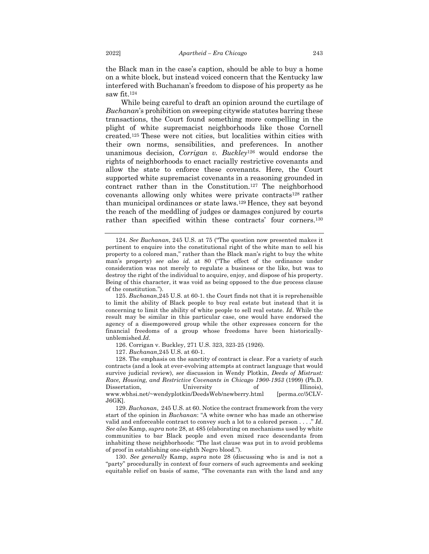the Black man in the case's caption, should be able to buy a home on a white block, but instead voiced concern that the Kentucky law interfered with Buchanan's freedom to dispose of his property as he saw fit.124

While being careful to draft an opinion around the curtilage of *Buchanan*'s prohibition on sweeping citywide statutes barring these transactions, the Court found something more compelling in the plight of white supremacist neighborhoods like those Cornell created.125 These were not cities, but localities within cities with their own norms, sensibilities, and preferences. In another unanimous decision, *Corrigan v. Buckley*<sup>126</sup> would endorse the rights of neighborhoods to enact racially restrictive covenants and allow the state to enforce these covenants. Here, the Court supported white supremacist covenants in a reasoning grounded in contract rather than in the Constitution.127 The neighborhood covenants allowing only whites were private contracts128 rather than municipal ordinances or state laws.129 Hence, they sat beyond the reach of the meddling of judges or damages conjured by courts rather than specified within these contracts' four corners.130

127. *Buchanan*,245 U.S. at 60-1.

128. The emphasis on the sanctity of contract is clear. For a variety of such contracts (and a look at ever-evolving attempts at contract language that would survive judicial review), *see* discussion in Wendy Plotkin, *Deeds of Mistrust: Race, Housing, and Restrictive Covenants in Chicago 1900-1953* (1999) (Ph.D. Dissertation, University of Illinois), www.wbhsi.net/~wendyplotkin/DeedsWeb/newberry.html [perma.cc/5CLV-J6GK].

129. *Buchanan*, 245 U.S. at 60. Notice the contract framework from the very start of the opinion in *Buchanan*: "A white owner who has made an otherwise valid and enforceable contract to convey such a lot to a colored person . . . ." *Id*. *See also* Kamp, *supra* note 28, at 485 (elaborating on mechanisms used by white communities to bar Black people and even mixed race descendants from inhabiting these neighborhoods: "The last clause was put in to avoid problems of proof in establishing one-eighth Negro blood.").

130. *See generally* Kamp, *supra* note 28 (discussing who is and is not a "party" procedurally in context of four corners of such agreements and seeking equitable relief on basis of same, "The covenants ran with the land and any

<sup>124.</sup> *See Buchanan*, 245 U.S. at 75 ("The question now presented makes it pertinent to enquire into the constitutional right of the white man to sell his property to a colored man," rather than the Black man's right to buy the white man's property) *see also id*. at 80 ("The effect of the ordinance under consideration was not merely to regulate a business or the like, but was to destroy the right of the individual to acquire, enjoy, and dispose of his property. Being of this character, it was void as being opposed to the due process clause of the constitution.").

<sup>125.</sup> *Buchanan*,245 U.S. at 60-1. the Court finds not that it is reprehensible to limit the ability of Black people to buy real estate but instead that it is concerning to limit the ability of white people to sell real estate. *Id*. While the result may be similar in this particular case, one would have endorsed the agency of a disempowered group while the other expresses concern for the financial freedoms of a group whose freedoms have been historicallyunblemished.*Id*.

<sup>126.</sup> Corrigan v. Buckley, 271 U.S. 323, 323-25 (1926).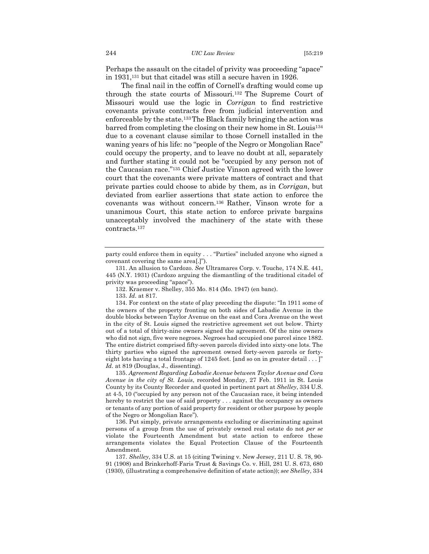Perhaps the assault on the citadel of privity was proceeding "apace" in 1931,131 but that citadel was still a secure haven in 1926.

The final nail in the coffin of Cornell's drafting would come up through the state courts of Missouri.132 The Supreme Court of Missouri would use the logic in *Corrigan* to find restrictive covenants private contracts free from judicial intervention and enforceable by the state.133The Black family bringing the action was barred from completing the closing on their new home in St. Louis134 due to a covenant clause similar to those Cornell installed in the waning years of his life: no "people of the Negro or Mongolian Race" could occupy the property, and to leave no doubt at all, separately and further stating it could not be "occupied by any person not of the Caucasian race."135 Chief Justice Vinson agreed with the lower court that the covenants were private matters of contract and that private parties could choose to abide by them, as in *Corrigan*, but deviated from earlier assertions that state action to enforce the covenants was without concern.136 Rather, Vinson wrote for a unanimous Court, this state action to enforce private bargains unacceptably involved the machinery of the state with these contracts.137

135. *Agreement Regarding Labadie Avenue between Taylor Avenue and Cora Avenue in the city of St. Louis*, recorded Monday, 27 Feb. 1911 in St. Louis County by its County Recorder and quoted in pertinent part at *Shelley*, 334 U.S. at 4-5, 10 ("occupied by any person not of the Caucasian race, it being intended hereby to restrict the use of said property . . . against the occupancy as owners or tenants of any portion of said property for resident or other purpose by people of the Negro or Mongolian Race").

136. Put simply, private arrangements excluding or discriminating against persons of a group from the use of privately owned real estate do not *per se* violate the Fourteenth Amendment but state action to enforce these arrangements violates the Equal Protection Clause of the Fourteenth Amendment.

137. *Shelley*, 334 U.S. at 15 (citing Twining v. New Jersey, 211 U. S. 78, 90- 91 (1908) and Brinkerhoff-Faris Trust & Savings Co. v. Hill, 281 U. S. 673, 680 (1930), (illustrating a comprehensive definition of state action)); *see Shelley*, 334

party could enforce them in equity . . . "Parties" included anyone who signed a covenant covering the same area[.]").

<sup>131.</sup> An allusion to Cardozo. *See* Ultramares Corp. v. Touche, 174 N.E. 441, 445 (N.Y. 1931) (Cardozo arguing the dismantling of the traditional citadel of privity was proceeding "apace").

<sup>132.</sup> Kraemer v. Shelley, 355 Mo. 814 (Mo. 1947) (en banc).

<sup>133.</sup> *Id.* at 817.

<sup>134.</sup> For context on the state of play preceding the dispute: "In 1911 some of the owners of the property fronting on both sides of Labadie Avenue in the double blocks between Taylor Avenue on the east and Cora Avenue on the west in the city of St. Louis signed the restrictive agreement set out below. Thirty out of a total of thirty-nine owners signed the agreement. Of the nine owners who did not sign, five were negroes. Negroes had occupied one parcel since 1882. The entire district comprised fifty-seven parcels divided into sixty-one lots. The thirty parties who signed the agreement owned forty-seven parcels or fortyeight lots having a total frontage of 1245 feet. [and so on in greater detail  $\dots$  ]" *Id.* at 819 (Douglas, J., dissenting).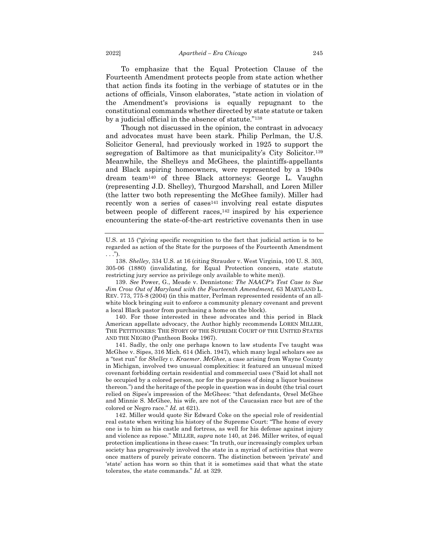To emphasize that the Equal Protection Clause of the Fourteenth Amendment protects people from state action whether that action finds its footing in the verbiage of statutes or in the actions of officials, Vinson elaborates, "state action in violation of the Amendment's provisions is equally repugnant to the constitutional commands whether directed by state statute or taken by a judicial official in the absence of statute."138

Though not discussed in the opinion, the contrast in advocacy and advocates must have been stark. Philip Perlman, the U.S. Solicitor General, had previously worked in 1925 to support the segregation of Baltimore as that municipality's City Solicitor.139 Meanwhile, the Shelleys and McGhees, the plaintiffs-appellants and Black aspiring homeowners, were represented by a 1940s dream team140 of three Black attorneys: George L. Vaughn (representing J.D. Shelley), Thurgood Marshall, and Loren Miller (the latter two both representing the McGhee family). Miller had recently won a series of cases<sup>141</sup> involving real estate disputes between people of different races,<sup>142</sup> inspired by his experience encountering the state-of-the-art restrictive covenants then in use

139. *See* Power, G., Meade v. Dennistone*: The NAACP's Test Case to Sue Jim Crow Out of Maryland with the Fourteenth Amendment*, 63 MARYLAND L. REV. 773, 775-8 (2004) (in this matter, Perlman represented residents of an allwhite block bringing suit to enforce a community plenary covenant and prevent a local Black pastor from purchasing a home on the block).

140. For those interested in these advocates and this period in Black American appellate advocacy, the Author highly recommends LOREN MILLER, THE PETITIONERS: THE STORY OF THE SUPREME COURT OF THE UNITED STATES AND THE NEGRO (Pantheon Books 1967).

141. Sadly, the only one perhaps known to law students I've taught was McGhee v. Sipes, 316 Mich. 614 (Mich. 1947), which many legal scholars see as a "test run" for *Shelley v. Kraemer*. *McGhee*, a case arising from Wayne County in Michigan, involved two unusual complexities: it featured an unusual mixed covenant forbidding certain residential and commercial uses ("Said lot shall not be occupied by a colored person, nor for the purposes of doing a liquor business thereon.") and the heritage of the people in question was in doubt (the trial court relied on Sipes's impression of the McGhees: "that defendants, Orsel McGhee and Minnie S. McGhee, his wife, are not of the Caucasian race but are of the colored or Negro race." *Id.* at 621).

142. Miller would quote Sir Edward Coke on the special role of residential real estate when writing his history of the Supreme Court: "The home of every one is to him as his castle and fortress, as well for his defense against injury and violence as repose." MILLER, *supra* note 140, at 246. Miller writes, of equal protection implications in these cases: "In truth, our increasingly complex urban society has progressively involved the state in a myriad of activities that were once matters of purely private concern. The distinction between 'private' and 'state' action has worn so thin that it is sometimes said that what the state tolerates, the state commands." *Id.* at 329.

U.S. at 15 ("giving specific recognition to the fact that judicial action is to be regarded as action of the State for the purposes of the Fourteenth Amendment . . .").

<sup>138.</sup> *Shelley*, 334 U.S. at 16 (citing Strauder v. West Virginia, 100 U. S. 303, 305-06 (1880) (invalidating, for Equal Protection concern, state statute restricting jury service as privilege only available to white men)).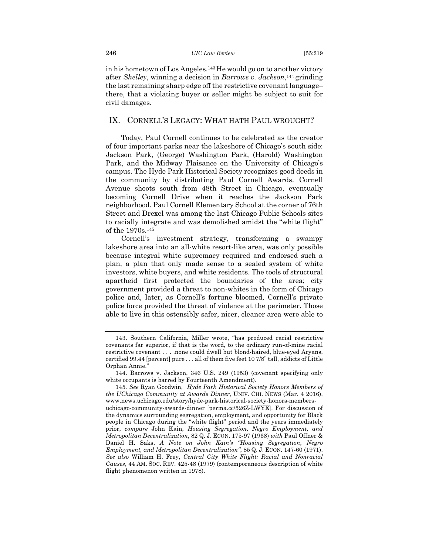#### 246 *UIC Law Review* [55:219

in his hometown of Los Angeles.143He would go on to another victory after *Shelley*, winning a decision in *Barrows v. Jackson*,144 grinding the last remaining sharp edge off the restrictive covenant language– there, that a violating buyer or seller might be subject to suit for civil damages.

### IX. CORNELL'S LEGACY: WHAT HATH PAUL WROUGHT?

Today, Paul Cornell continues to be celebrated as the creator of four important parks near the lakeshore of Chicago's south side: Jackson Park, (George) Washington Park, (Harold) Washington Park, and the Midway Plaisance on the University of Chicago's campus. The Hyde Park Historical Society recognizes good deeds in the community by distributing Paul Cornell Awards. Cornell Avenue shoots south from 48th Street in Chicago, eventually becoming Cornell Drive when it reaches the Jackson Park neighborhood. Paul Cornell Elementary School at the corner of 76th Street and Drexel was among the last Chicago Public Schools sites to racially integrate and was demolished amidst the "white flight" of the 1970s.145

Cornell's investment strategy, transforming a swampy lakeshore area into an all-white resort-like area, was only possible because integral white supremacy required and endorsed such a plan, a plan that only made sense to a sealed system of white investors, white buyers, and white residents. The tools of structural apartheid first protected the boundaries of the area; city government provided a threat to non-whites in the form of Chicago police and, later, as Cornell's fortune bloomed, Cornell's private police force provided the threat of violence at the perimeter. Those able to live in this ostensibly safer, nicer, cleaner area were able to

<sup>143.</sup> Southern California, Miller wrote, "has produced racial restrictive covenants far superior, if that is the word, to the ordinary run-of-mine racial restrictive covenant . . . .none could dwell but blond-haired, blue-eyed Aryans, certified 99.44 [percent] pure . . . all of them five feet 10 7/8" tall, addicts of Little Orphan Annie."

<sup>144.</sup> Barrows v. Jackson, 346 U.S. 249 (1953) (covenant specifying only white occupants is barred by Fourteenth Amendment).

<sup>145</sup>*. See* Ryan Goodwin, *Hyde Park Historical Society Honors Members of the UChicago Community at Awards Dinner*, UNIV. CHI. NEWS (Mar. 4 2016), www.news.uchicago.edu/story/hyde-park-historical-society-honors-membersuchicago-community-awards-dinner [perma.cc/526Z-LWYE]. For discussion of the dynamics surrounding segregation, employment, and opportunity for Black people in Chicago during the "white flight" period and the years immediately prior, *compare* John Kain, *Housing Segregation, Negro Employment, and Metropolitan Decentralization*, 82 Q. J. ECON. 175-97 (1968) *with* Paul Offner & Daniel H. Saks, *A Note on John Kain's "Housing Segregation, Negro Employment, and Metropolitan Decentralization"*, 85 Q. J. ECON. 147-60 (1971). *See also* William H. Frey, *Central City White Flight: Racial and Nonracial Causes*, 44 AM. SOC. REV. 425-48 (1979) (contemporaneous description of white flight phenomenon written in 1978).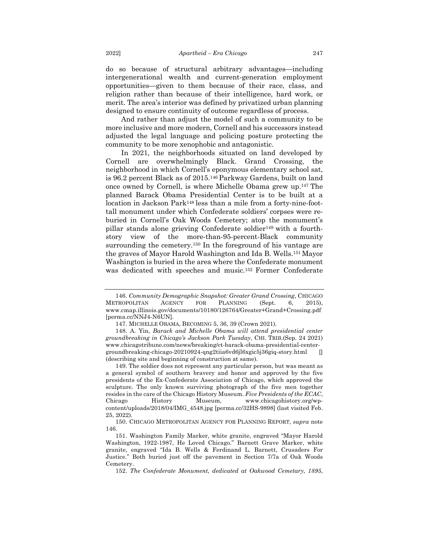do so because of structural arbitrary advantages—including intergenerational wealth and current-generation employment opportunities—given to them because of their race, class, and religion rather than because of their intelligence, hard work, or merit. The area's interior was defined by privatized urban planning designed to ensure continuity of outcome regardless of process.

And rather than adjust the model of such a community to be more inclusive and more modern, Cornell and his successors instead adjusted the legal language and policing posture protecting the community to be more xenophobic and antagonistic.

In 2021, the neighborhoods situated on land developed by Cornell are overwhelmingly Black. Grand Crossing, the neighborhood in which Cornell's eponymous elementary school sat, is 96.2 percent Black as of 2015.146 Parkway Gardens, built on land once owned by Cornell, is where Michelle Obama grew up.147 The planned Barack Obama Presidential Center is to be built at a location in Jackson Park148 less than a mile from a forty-nine-foottall monument under which Confederate soldiers' corpses were reburied in Cornell's Oak Woods Cemetery; atop the monument's pillar stands alone grieving Confederate soldier149 with a fourthstory view of the more-than-95-percent-Black community surrounding the cemetery.<sup>150</sup> In the foreground of his vantage are the graves of Mayor Harold Washington and Ida B. Wells.151 Mayor Washington is buried in the area where the Confederate monument was dedicated with speeches and music.152 Former Confederate

<sup>146.</sup> *Community Demographic Snapshot: Greater Grand Crossing*, CHICAGO METROPOLITAN AGENCY FOR PLANNING (Sept. 6, 2015), www.cmap.illinois.gov/documents/10180/126764/Greater+Grand+Crossing.pdf [perma.cc/NNJ4-N6UN].

<sup>147.</sup> MICHELLE OBAMA, BECOMING 5, 36, 39 (Crown 2021).

<sup>148.</sup> A. Yin, *Barack and Michelle Obama will attend presidential center groundbreaking in Chicago's Jackson Park Tuesday*, CHI. TRIB.(Sep. 24 2021) www.chicagotribune.com/news/breaking/ct-barack-obama-presidential-centergroundbreaking-chicago-20210924-qng2tiia6vd6jl6xgic5j36giq-story.html [] (describing site and beginning of construction at same).

<sup>149.</sup> The soldier does not represent any particular person, but was meant as a general symbol of southern bravery and honor and approved by the five presidents of the Ex-Confederate Association of Chicago, which approved the sculpture. The only known surviving photograph of the five men together resides in the care of the Chicago History Museum. *Five Presidents of the ECAC*, Chicago History Museum, www.chicagohistory.org/wpcontent/uploads/2018/04/IMG\_4548.jpg [perma.cc/32HS-9898] (last visited Feb. 25, 2022).

<sup>150.</sup> CHICAGO METROPOLITAN AGENCY FOR PLANNING REPORT, *supra* note 146.

<sup>151.</sup> Washington Family Marker, white granite, engraved "Mayor Harold Washington, 1922-1987, He Loved Chicago." Barnett Grave Marker, white granite, engraved "Ida B. Wells & Ferdinand L. Barnett, Crusaders For Justice." Both buried just off the pavement in Section 7/7a of Oak Woods Cemetery.

<sup>152.</sup> *The Confederate Monument, dedicated at Oakwood Cemetary, 1895*,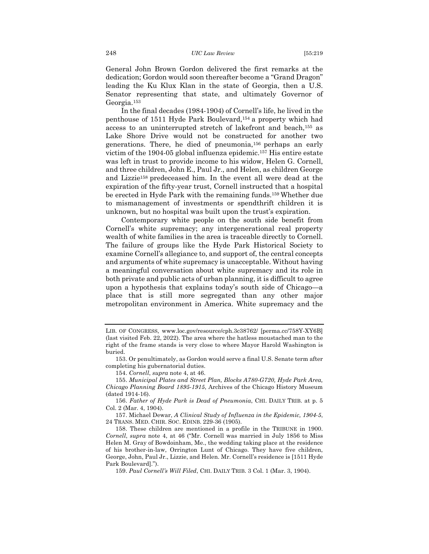General John Brown Gordon delivered the first remarks at the dedication; Gordon would soon thereafter become a "Grand Dragon" leading the Ku Klux Klan in the state of Georgia, then a U.S. Senator representing that state, and ultimately Governor of Georgia.153

In the final decades (1984-1904) of Cornell's life, he lived in the penthouse of 1511 Hyde Park Boulevard,154 a property which had access to an uninterrupted stretch of lakefront and beach,155 as Lake Shore Drive would not be constructed for another two generations. There, he died of pneumonia,156 perhaps an early victim of the 1904-05 global influenza epidemic.157 His entire estate was left in trust to provide income to his widow, Helen G. Cornell, and three children, John E., Paul Jr., and Helen, as children George and Lizzie158 predeceased him. In the event all were dead at the expiration of the fifty-year trust, Cornell instructed that a hospital be erected in Hyde Park with the remaining funds.159 Whether due to mismanagement of investments or spendthrift children it is unknown, but no hospital was built upon the trust's expiration.

Contemporary white people on the south side benefit from Cornell's white supremacy; any intergenerational real property wealth of white families in the area is traceable directly to Cornell. The failure of groups like the Hyde Park Historical Society to examine Cornell's allegiance to, and support of, the central concepts and arguments of white supremacy is unacceptable. Without having a meaningful conversation about white supremacy and its role in both private and public acts of urban planning, it is difficult to agree upon a hypothesis that explains today's south side of Chicago—a place that is still more segregated than any other major metropolitan environment in America. White supremacy and the

LIB. OF CONGRESS, www.loc.gov/resource/cph.3c38762/ [perma.cc/758Y-XY6B] (last visited Feb. 22, 2022). The area where the hatless moustached man to the right of the frame stands is very close to where Mayor Harold Washington is buried.

<sup>153.</sup> Or penultimately, as Gordon would serve a final U.S. Senate term after completing his gubernatorial duties.

<sup>154.</sup> *Cornell*, *supra* note 4, at 46.

<sup>155.</sup> *Municipal Plates and Street Plan, Blocks A780-G720, Hyde Park Area, Chicago Planning Board 1895-1915*, Archives of the Chicago History Museum (dated 1914-16).

<sup>156.</sup> *Father of Hyde Park is Dead of Pneumonia*, CHI. DAILY TRIB. at p. 5 Col. 2 (Mar. 4, 1904).

<sup>157.</sup> Michael Dewar, *A Clinical Study of Influenza in the Epidemic, 1904-5*, 24 TRANS. MED. CHIR. SOC. EDINB. 229-36 (1905).

<sup>158.</sup> These children are mentioned in a profile in the TRIBUNE in 1900. *Cornell*, *supra* note 4, at 46 ("Mr. Cornell was married in July 1856 to Miss Helen M. Gray of Bowdoinham, Me., the wedding taking place at the residence of his brother-in-law, Orrington Lunt of Chicago. They have five children, George, John, Paul Jr., Lizzie, and Helen. Mr. Cornell's residence is [1511 Hyde Park Boulevard].").

<sup>159.</sup> *Paul Cornell's Will Filed*, CHI. DAILY TRIB. 3 Col. 1 (Mar. 3, 1904).